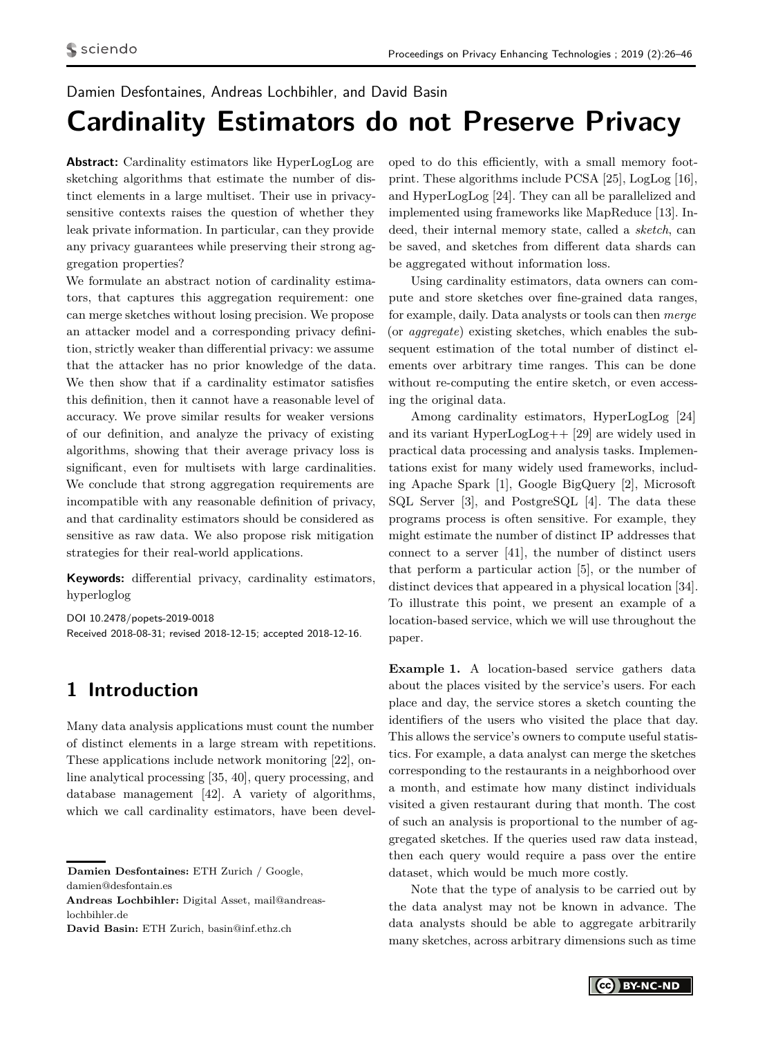#### <span id="page-0-1"></span>Damien Desfontaines, Andreas Lochbihler, and David Basin

# **Cardinality Estimators do not Preserve Privacy**

**Abstract:** Cardinality estimators like HyperLogLog are sketching algorithms that estimate the number of distinct elements in a large multiset. Their use in privacysensitive contexts raises the question of whether they leak private information. In particular, can they provide any privacy guarantees while preserving their strong aggregation properties?

We formulate an abstract notion of cardinality estimators, that captures this aggregation requirement: one can merge sketches without losing precision. We propose an attacker model and a corresponding privacy definition, strictly weaker than differential privacy: we assume that the attacker has no prior knowledge of the data. We then show that if a cardinality estimator satisfies this definition, then it cannot have a reasonable level of accuracy. We prove similar results for weaker versions of our definition, and analyze the privacy of existing algorithms, showing that their average privacy loss is significant, even for multisets with large cardinalities. We conclude that strong aggregation requirements are incompatible with any reasonable definition of privacy, and that cardinality estimators should be considered as sensitive as raw data. We also propose risk mitigation strategies for their real-world applications.

**Keywords:** differential privacy, cardinality estimators, hyperloglog

DOI 10.2478/popets-2019-0018 Received 2018-08-31; revised 2018-12-15; accepted 2018-12-16.

## **1 Introduction**

Many data analysis applications must count the number of distinct elements in a large stream with repetitions. These applications include network monitoring [\[22\]](#page-16-0), online analytical processing [\[35,](#page-17-0) [40\]](#page-17-1), query processing, and database management [\[42\]](#page-17-2). A variety of algorithms, which we call cardinality estimators, have been devel-

**David Basin:** ETH Zurich, basin@inf.ethz.ch

oped to do this efficiently, with a small memory footprint. These algorithms include PCSA [\[25\]](#page-16-1), LogLog [\[16\]](#page-16-2), and HyperLogLog [\[24\]](#page-16-3). They can all be parallelized and implemented using frameworks like MapReduce [\[13\]](#page-16-4). Indeed, their internal memory state, called a *sketch*, can be saved, and sketches from different data shards can be aggregated without information loss.

Using cardinality estimators, data owners can compute and store sketches over fine-grained data ranges, for example, daily. Data analysts or tools can then *merge* (or *aggregate*) existing sketches, which enables the subsequent estimation of the total number of distinct elements over arbitrary time ranges. This can be done without re-computing the entire sketch, or even accessing the original data.

Among cardinality estimators, HyperLogLog [\[24\]](#page-16-3) and its variant HyperLogLog++ [\[29\]](#page-16-5) are widely used in practical data processing and analysis tasks. Implementations exist for many widely used frameworks, including Apache Spark [\[1\]](#page-16-6), Google BigQuery [\[2\]](#page-16-7), Microsoft SQL Server [\[3\]](#page-16-8), and PostgreSQL [\[4\]](#page-16-9). The data these programs process is often sensitive. For example, they might estimate the number of distinct IP addresses that connect to a server [\[41\]](#page-17-3), the number of distinct users that perform a particular action [\[5\]](#page-16-10), or the number of distinct devices that appeared in a physical location [\[34\]](#page-17-4). To illustrate this point, we present an example of a location-based service, which we will use throughout the paper.

<span id="page-0-0"></span>**Example 1.** A location-based service gathers data about the places visited by the service's users. For each place and day, the service stores a sketch counting the identifiers of the users who visited the place that day. This allows the service's owners to compute useful statistics. For example, a data analyst can merge the sketches corresponding to the restaurants in a neighborhood over a month, and estimate how many distinct individuals visited a given restaurant during that month. The cost of such an analysis is proportional to the number of aggregated sketches. If the queries used raw data instead, then each query would require a pass over the entire dataset, which would be much more costly.

Note that the type of analysis to be carried out by the data analyst may not be known in advance. The data analysts should be able to aggregate arbitrarily many sketches, across arbitrary dimensions such as time



**Damien Desfontaines:** ETH Zurich / Google, damien@desfontain.es

**Andreas Lochbihler:** Digital Asset, mail@andreaslochbihler.de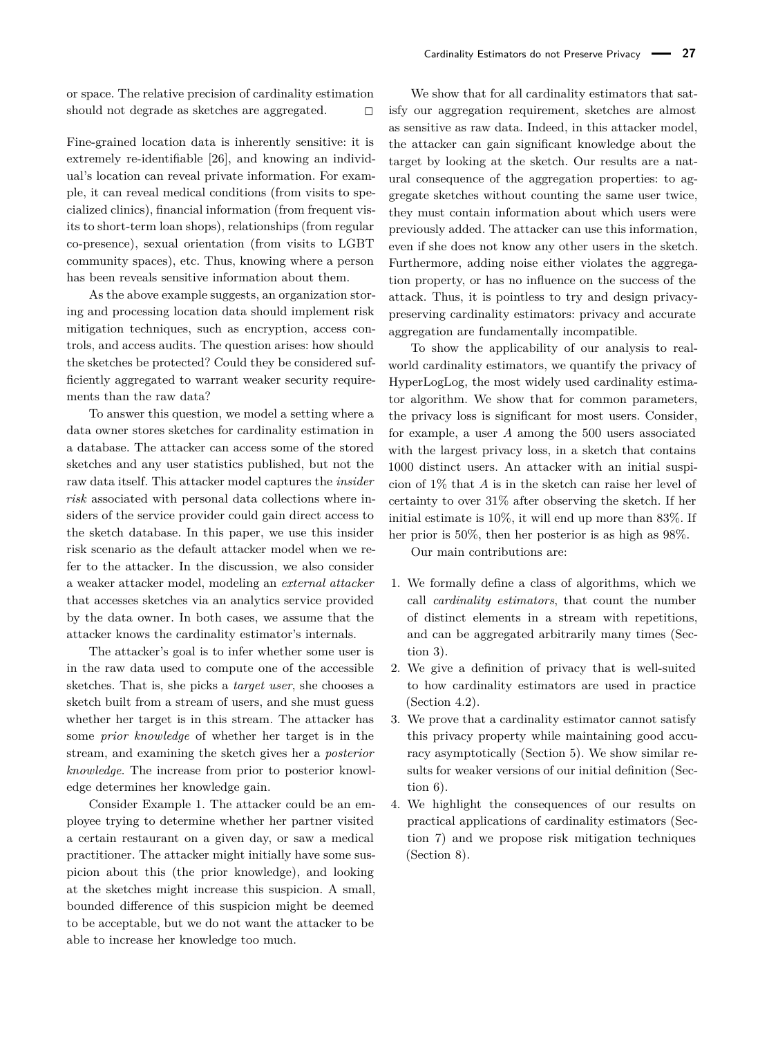or space. The relative precision of cardinality estimation should not degrade as sketches are aggregated.

Fine-grained location data is inherently sensitive: it is extremely re-identifiable [\[26\]](#page-16-11), and knowing an individual's location can reveal private information. For example, it can reveal medical conditions (from visits to specialized clinics), financial information (from frequent visits to short-term loan shops), relationships (from regular co-presence), sexual orientation (from visits to LGBT community spaces), etc. Thus, knowing where a person has been reveals sensitive information about them.

As the above example suggests, an organization storing and processing location data should implement risk mitigation techniques, such as encryption, access controls, and access audits. The question arises: how should the sketches be protected? Could they be considered sufficiently aggregated to warrant weaker security requirements than the raw data?

To answer this question, we model a setting where a data owner stores sketches for cardinality estimation in a database. The attacker can access some of the stored sketches and any user statistics published, but not the raw data itself. This attacker model captures the *insider risk* associated with personal data collections where insiders of the service provider could gain direct access to the sketch database. In this paper, we use this insider risk scenario as the default attacker model when we refer to the attacker. In the discussion, we also consider a weaker attacker model, modeling an *external attacker* that accesses sketches via an analytics service provided by the data owner. In both cases, we assume that the attacker knows the cardinality estimator's internals.

The attacker's goal is to infer whether some user is in the raw data used to compute one of the accessible sketches. That is, she picks a *target user*, she chooses a sketch built from a stream of users, and she must guess whether her target is in this stream. The attacker has some *prior knowledge* of whether her target is in the stream, and examining the sketch gives her a *posterior knowledge*. The increase from prior to posterior knowledge determines her knowledge gain.

Consider Example [1.](#page-0-0) The attacker could be an employee trying to determine whether her partner visited a certain restaurant on a given day, or saw a medical practitioner. The attacker might initially have some suspicion about this (the prior knowledge), and looking at the sketches might increase this suspicion. A small, bounded difference of this suspicion might be deemed to be acceptable, but we do not want the attacker to be able to increase her knowledge too much.

We show that for all cardinality estimators that satisfy our aggregation requirement, sketches are almost as sensitive as raw data. Indeed, in this attacker model, the attacker can gain significant knowledge about the target by looking at the sketch. Our results are a natural consequence of the aggregation properties: to aggregate sketches without counting the same user twice, they must contain information about which users were previously added. The attacker can use this information, even if she does not know any other users in the sketch. Furthermore, adding noise either violates the aggregation property, or has no influence on the success of the attack. Thus, it is pointless to try and design privacypreserving cardinality estimators: privacy and accurate aggregation are fundamentally incompatible.

To show the applicability of our analysis to realworld cardinality estimators, we quantify the privacy of HyperLogLog, the most widely used cardinality estimator algorithm. We show that for common parameters, the privacy loss is significant for most users. Consider, for example, a user *A* among the 500 users associated with the largest privacy loss, in a sketch that contains 1000 distinct users. An attacker with an initial suspicion of 1% that *A* is in the sketch can raise her level of certainty to over 31% after observing the sketch. If her initial estimate is 10%, it will end up more than 83%. If her prior is 50%, then her posterior is as high as 98%.

Our main contributions are:

- 1. We formally define a class of algorithms, which we call *cardinality estimators*, that count the number of distinct elements in a stream with repetitions, and can be aggregated arbitrarily many times (Section [3\)](#page-2-0).
- 2. We give a definition of privacy that is well-suited to how cardinality estimators are used in practice (Section [4.2\)](#page-5-0).
- 3. We prove that a cardinality estimator cannot satisfy this privacy property while maintaining good accuracy asymptotically (Section [5\)](#page-7-0). We show similar results for weaker versions of our initial definition (Section [6\)](#page-11-0).
- 4. We highlight the consequences of our results on practical applications of cardinality estimators (Section [7\)](#page-12-0) and we propose risk mitigation techniques (Section [8\)](#page-14-0).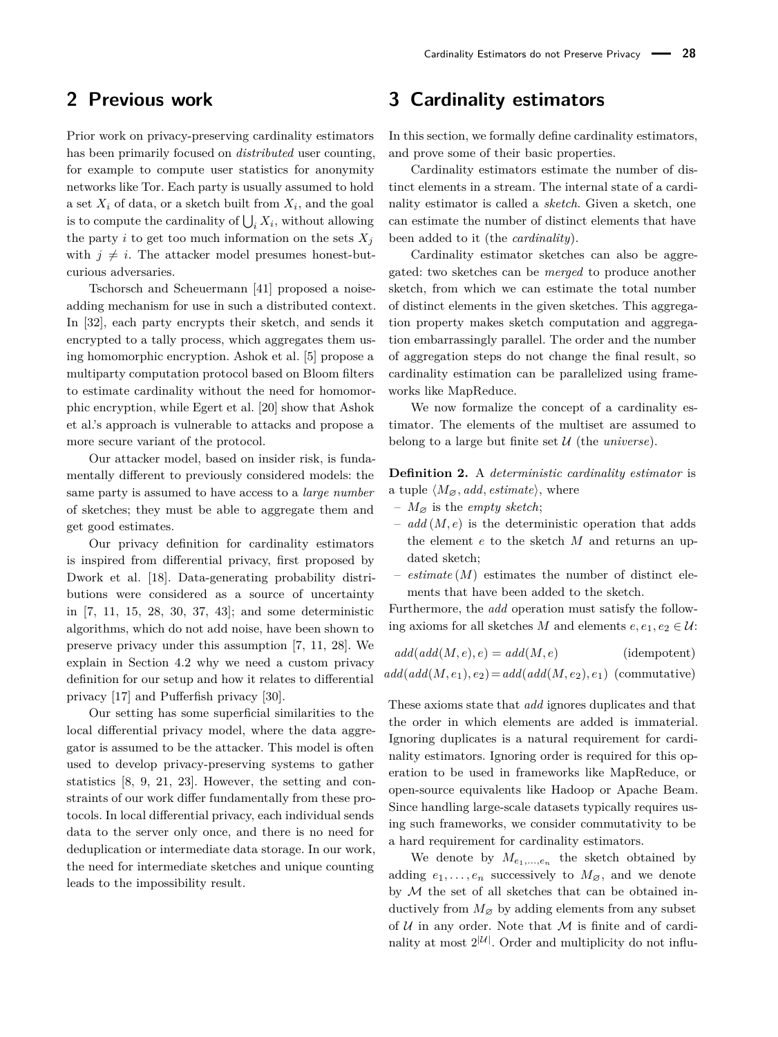## **2 Previous work**

Prior work on privacy-preserving cardinality estimators has been primarily focused on *distributed* user counting, for example to compute user statistics for anonymity networks like Tor. Each party is usually assumed to hold a set  $X_i$  of data, or a sketch built from  $X_i$ , and the goal is to compute the cardinality of  $\bigcup_i X_i$ , without allowing the party *i* to get too much information on the sets  $X_i$ with  $j \neq i$ . The attacker model presumes honest-butcurious adversaries.

Tschorsch and Scheuermann [\[41\]](#page-17-3) proposed a noiseadding mechanism for use in such a distributed context. In [\[32\]](#page-17-5), each party encrypts their sketch, and sends it encrypted to a tally process, which aggregates them using homomorphic encryption. Ashok et al. [\[5\]](#page-16-10) propose a multiparty computation protocol based on Bloom filters to estimate cardinality without the need for homomorphic encryption, while Egert et al. [\[20\]](#page-16-12) show that Ashok et al.'s approach is vulnerable to attacks and propose a more secure variant of the protocol.

Our attacker model, based on insider risk, is fundamentally different to previously considered models: the same party is assumed to have access to a *large number* of sketches; they must be able to aggregate them and get good estimates.

Our privacy definition for cardinality estimators is inspired from differential privacy, first proposed by Dwork et al. [\[18\]](#page-16-13). Data-generating probability distributions were considered as a source of uncertainty in [\[7,](#page-16-14) [11,](#page-16-15) [15,](#page-16-16) [28,](#page-16-17) [30,](#page-17-6) [37,](#page-17-7) [43\]](#page-17-8); and some deterministic algorithms, which do not add noise, have been shown to preserve privacy under this assumption [\[7,](#page-16-14) [11,](#page-16-15) [28\]](#page-16-17). We explain in Section [4.2](#page-5-0) why we need a custom privacy definition for our setup and how it relates to differential privacy [\[17\]](#page-16-18) and Pufferfish privacy [\[30\]](#page-17-6).

Our setting has some superficial similarities to the local differential privacy model, where the data aggregator is assumed to be the attacker. This model is often used to develop privacy-preserving systems to gather statistics [\[8,](#page-16-19) [9,](#page-16-20) [21,](#page-16-21) [23\]](#page-16-22). However, the setting and constraints of our work differ fundamentally from these protocols. In local differential privacy, each individual sends data to the server only once, and there is no need for deduplication or intermediate data storage. In our work, the need for intermediate sketches and unique counting leads to the impossibility result.

## <span id="page-2-0"></span>**3 Cardinality estimators**

In this section, we formally define cardinality estimators, and prove some of their basic properties.

Cardinality estimators estimate the number of distinct elements in a stream. The internal state of a cardinality estimator is called a *sketch*. Given a sketch, one can estimate the number of distinct elements that have been added to it (the *cardinality*).

Cardinality estimator sketches can also be aggregated: two sketches can be *merged* to produce another sketch, from which we can estimate the total number of distinct elements in the given sketches. This aggregation property makes sketch computation and aggregation embarrassingly parallel. The order and the number of aggregation steps do not change the final result, so cardinality estimation can be parallelized using frameworks like MapReduce.

We now formalize the concept of a cardinality estimator. The elements of the multiset are assumed to belong to a large but finite set U (the *universe*).

<span id="page-2-1"></span>**Definition 2.** A *deterministic cardinality estimator* is a tuple  $\langle M_{\varnothing}$ *, add, estimate*), where

- $M_{\varnothing}$  is the *empty sketch*;
- *add* (*M, e*) is the deterministic operation that adds the element *e* to the sketch *M* and returns an updated sketch;
- $-$  *estimate* ( $M$ ) estimates the number of distinct elements that have been added to the sketch.

Furthermore, the *add* operation must satisfy the following axioms for all sketches *M* and elements  $e, e_1, e_2 \in \mathcal{U}$ :

| $add(add(M,e),e)=add(M,e)$                              | (idempotent) |
|---------------------------------------------------------|--------------|
| $add(add(M,e_1),e_2)=add(add(M,e_2),e_1)$ (commutative) |              |

These axioms state that *add* ignores duplicates and that the order in which elements are added is immaterial. Ignoring duplicates is a natural requirement for cardinality estimators. Ignoring order is required for this operation to be used in frameworks like MapReduce, or open-source equivalents like Hadoop or Apache Beam. Since handling large-scale datasets typically requires using such frameworks, we consider commutativity to be a hard requirement for cardinality estimators.

We denote by  $M_{e_1,\ldots,e_n}$  the sketch obtained by adding  $e_1, \ldots, e_n$  successively to  $M_{\varnothing}$ , and we denote by M the set of all sketches that can be obtained inductively from  $M_{\varnothing}$  by adding elements from any subset of  $U$  in any order. Note that  $M$  is finite and of cardinality at most  $2^{\vert \mathcal{U} \vert}$ . Order and multiplicity do not influ-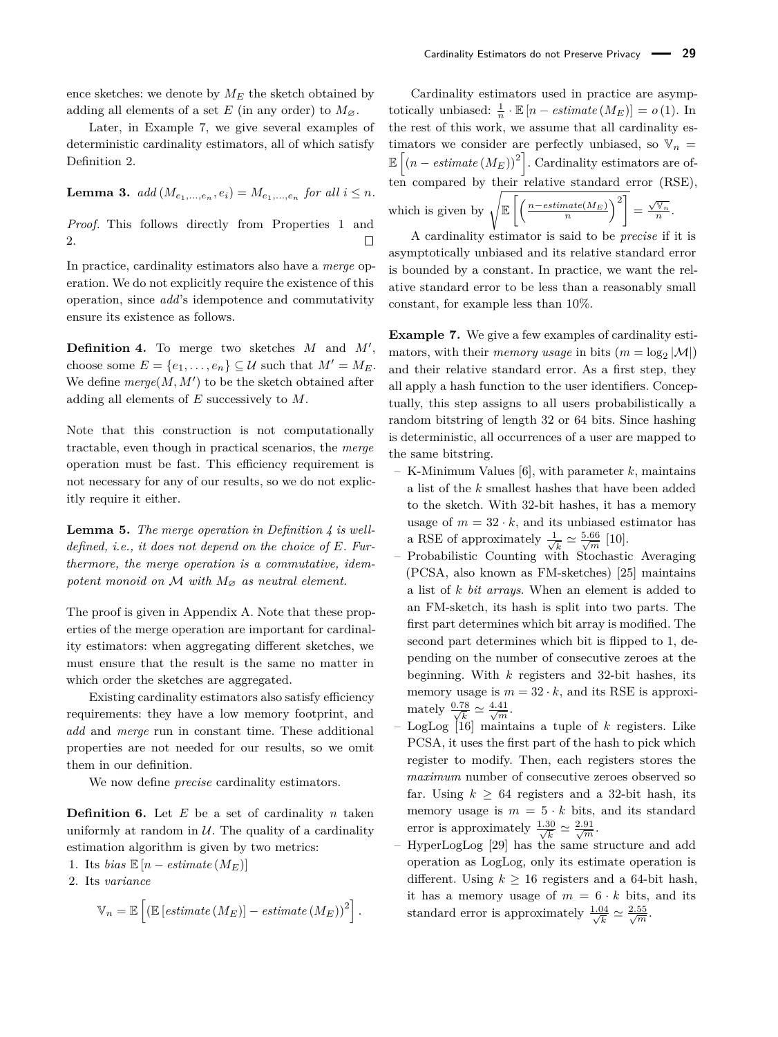ence sketches: we denote by  $M_E$  the sketch obtained by adding all elements of a set  $E$  (in any order) to  $M_{\varnothing}$ .

Later, in Example [7,](#page-3-0) we give several examples of deterministic cardinality estimators, all of which satisfy Definition [2.](#page-2-1)

<span id="page-3-3"></span>**Lemma 3.**  $add(M_{e_1,...,e_n}, e_i) = M_{e_1,...,e_n}$  for all  $i \leq n$ .

*Proof.* This follows directly from Properties 1 and 2.

In practice, cardinality estimators also have a *merge* operation. We do not explicitly require the existence of this operation, since *add*'s idempotence and commutativity ensure its existence as follows.

<span id="page-3-1"></span>**Definition 4.** To merge two sketches  $M$  and  $M'$ , choose some  $E = \{e_1, \ldots, e_n\} \subseteq \mathcal{U}$  such that  $M' = M_E$ . We define  $merge(M, M')$  to be the sketch obtained after adding all elements of *E* successively to *M*.

Note that this construction is not computationally tractable, even though in practical scenarios, the *merge* operation must be fast. This efficiency requirement is not necessary for any of our results, so we do not explicitly require it either.

<span id="page-3-2"></span>**Lemma 5.** *The merge operation in Definition [4](#page-3-1) is welldefined, i.e., it does not depend on the choice of E. Furthermore, the merge operation is a commutative, idempotent monoid on*  $M$  *with*  $M_{\varnothing}$  *as neutral element.* 

The proof is given in Appendix [A.](#page-17-9) Note that these properties of the merge operation are important for cardinality estimators: when aggregating different sketches, we must ensure that the result is the same no matter in which order the sketches are aggregated.

Existing cardinality estimators also satisfy efficiency requirements: they have a low memory footprint, and *add* and *merge* run in constant time. These additional properties are not needed for our results, so we omit them in our definition.

We now define *precise* cardinality estimators.

**Definition 6.** Let *E* be a set of cardinality *n* taken uniformly at random in  $U$ . The quality of a cardinality estimation algorithm is given by two metrics:

1. Its *bias*  $\mathbb{E}[n - estimate(M_E)]$ 

2. Its *variance*

$$
\mathbb{V}_n = \mathbb{E}\left[\left(\mathbb{E}\left[\text{estimate}\left(M_E\right)\right] - \text{estimate}\left(M_E\right)\right)^2\right].
$$

Cardinality estimators used in practice are asymptotically unbiased:  $\frac{1}{n} \cdot \mathbb{E}[n - estimate(M_E)] = o(1)$ . In the rest of this work, we assume that all cardinality estimators we consider are perfectly unbiased, so  $V_n =$  $\mathbb{E}\left[\left(n-\text{estimate}\left(M_E\right)\right)^2\right]$ . Cardinality estimators are often compared by their relative standard error (RSE), which is given by  $\sqrt{\mathbb{E}\left[\left(\frac{n-estimate(M_E)}{n}\right)^2\right]} = \frac{\sqrt{\mathbb{V}_n}}{n}$ .

A cardinality estimator is said to be *precise* if it is

asymptotically unbiased and its relative standard error is bounded by a constant. In practice, we want the relative standard error to be less than a reasonably small constant, for example less than 10%.

<span id="page-3-0"></span>**Example 7.** We give a few examples of cardinality estimators, with their *memory usage* in bits  $(m = \log_2 |\mathcal{M}|)$ and their relative standard error. As a first step, they all apply a hash function to the user identifiers. Conceptually, this step assigns to all users probabilistically a random bitstring of length 32 or 64 bits. Since hashing is deterministic, all occurrences of a user are mapped to the same bitstring.

- K-Minimum Values [\[6\]](#page-16-23), with parameter *k*, maintains a list of the *k* smallest hashes that have been added to the sketch. With 32-bit hashes, it has a memory usage of  $m = 32 \cdot k$ , and its unbiased estimator has a RSE of approximately  $\frac{1}{\sqrt{2}}$  $\frac{5}{\sqrt{k}} \simeq \frac{5.66}{\sqrt{m}}$  [\[10\]](#page-16-24).
- Probabilistic Counting with Stochastic Averaging (PCSA, also known as FM-sketches) [\[25\]](#page-16-1) maintains a list of *k bit arrays*. When an element is added to an FM-sketch, its hash is split into two parts. The first part determines which bit array is modified. The second part determines which bit is flipped to 1, depending on the number of consecutive zeroes at the beginning. With *k* registers and 32-bit hashes, its memory usage is  $m = 32 \cdot k$ , and its RSE is approximately  $\frac{0.78}{\sqrt{k}} \simeq \frac{4.41}{\sqrt{m}}$ .
- LogLog [\[16\]](#page-16-2) maintains a tuple of *k* registers. Like PCSA, it uses the first part of the hash to pick which register to modify. Then, each registers stores the *maximum* number of consecutive zeroes observed so far. Using  $k \geq 64$  registers and a 32-bit hash, its memory usage is  $m = 5 \cdot k$  bits, and its standard error is approximately  $\frac{1.30}{\sqrt{k}} \simeq \frac{2.91}{\sqrt{m}}$ .
- HyperLogLog [\[29\]](#page-16-5) has the same structure and add operation as LogLog, only its estimate operation is different. Using  $k \geq 16$  registers and a 64-bit hash, it has a memory usage of  $m = 6 \cdot k$  bits, and its standard error is approximately  $\frac{1.04}{\sqrt{k}} \simeq \frac{2.55}{\sqrt{m}}$ .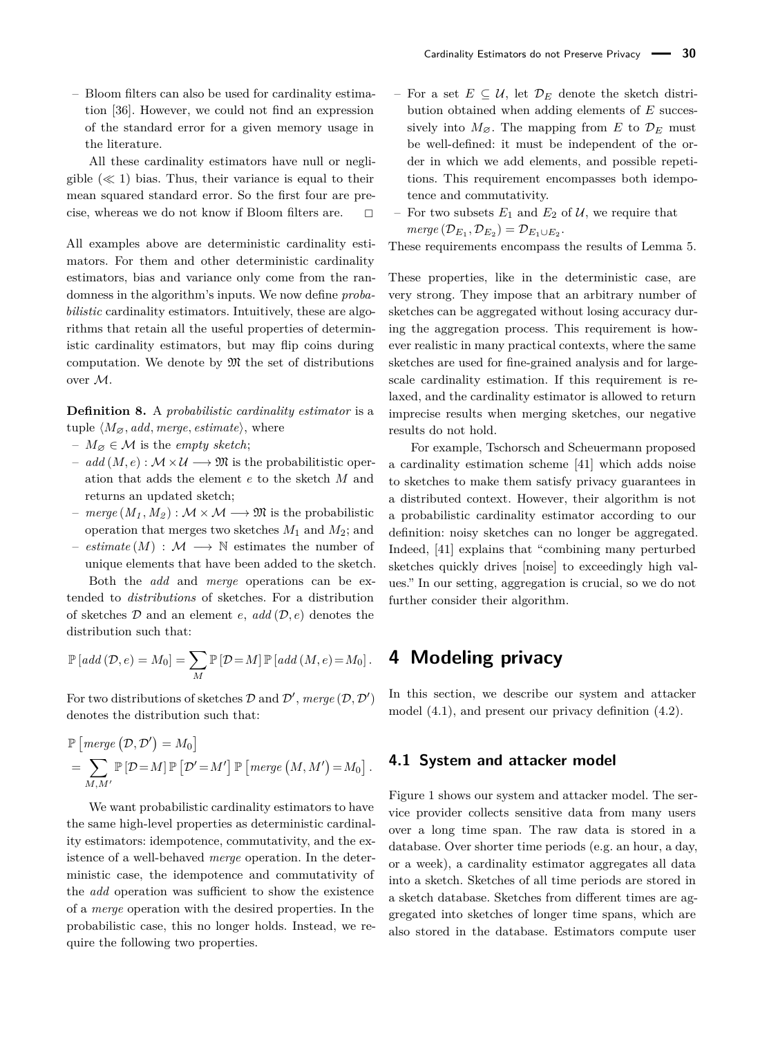– Bloom filters can also be used for cardinality estimation [\[36\]](#page-17-10). However, we could not find an expression of the standard error for a given memory usage in the literature.

All these cardinality estimators have null or negligible  $(\ll 1)$  bias. Thus, their variance is equal to their mean squared standard error. So the first four are precise, whereas we do not know if Bloom filters are.  $\Box$ 

All examples above are deterministic cardinality estimators. For them and other deterministic cardinality estimators, bias and variance only come from the randomness in the algorithm's inputs. We now define *probabilistic* cardinality estimators. Intuitively, these are algorithms that retain all the useful properties of deterministic cardinality estimators, but may flip coins during computation. We denote by  $\mathfrak{M}$  the set of distributions over M.

<span id="page-4-1"></span>**Definition 8.** A *probabilistic cardinality estimator* is a tuple  $\langle M_{\varnothing}$ *, add, merge, estimate*), where

- $-M_{\alpha} \in \mathcal{M}$  is the *empty sketch*;
- *add* (*M*,*e*) : *M* × *U* → *M* is the probabilitistic operation that adds the element *e* to the sketch *M* and returns an updated sketch;
- $-$  *merge*  $(M_1, M_2) : \mathcal{M} \times \mathcal{M} \longrightarrow \mathfrak{M}$  is the probabilistic operation that merges two sketches *M*<sup>1</sup> and *M*2; and
- $− \; estimate(M) : \mathcal{M} \longrightarrow \mathbb{N} \; estimates \; the \; number \; of \;$ unique elements that have been added to the sketch. Both the *add* and *merge* operations can be ex-

tended to *distributions* of sketches. For a distribution of sketches D and an element *e*, *add* (D*, e*) denotes the distribution such that:

$$
\mathbb{P}\left[add\left(\mathcal{D},e\right)=M_{0}\right]=\sum_{M}\mathbb{P}\left[\mathcal{D}=M\right]\mathbb{P}\left[add\left(M,e\right)=M_{0}\right].
$$

For two distributions of sketches  $D$  and  $D'$ , *merge*  $(D, D')$ denotes the distribution such that:

$$
\mathbb{P}\left[\text{merge } (\mathcal{D}, \mathcal{D}') = M_0\right] \n= \sum_{M, M'} \mathbb{P}\left[\mathcal{D} = M\right] \mathbb{P}\left[\mathcal{D}' = M'\right] \mathbb{P}\left[\text{merge } (M, M') = M_0\right].
$$

We want probabilistic cardinality estimators to have the same high-level properties as deterministic cardinality estimators: idempotence, commutativity, and the existence of a well-behaved *merge* operation. In the deterministic case, the idempotence and commutativity of the *add* operation was sufficient to show the existence of a *merge* operation with the desired properties. In the probabilistic case, this no longer holds. Instead, we require the following two properties.

- $-$  For a set  $E ⊆ U$ , let  $\mathcal{D}_E$  denote the sketch distribution obtained when adding elements of *E* successively into  $M_{\varnothing}$ . The mapping from *E* to  $\mathcal{D}_E$  must be well-defined: it must be independent of the order in which we add elements, and possible repetitions. This requirement encompasses both idempotence and commutativity.
- For two subsets  $E_1$  and  $E_2$  of  $\mathcal{U}$ , we require that  $merge(\mathcal{D}_{E_1}, \mathcal{D}_{E_2}) = \mathcal{D}_{E_1 \cup E_2}.$

These requirements encompass the results of Lemma [5.](#page-3-2)

These properties, like in the deterministic case, are very strong. They impose that an arbitrary number of sketches can be aggregated without losing accuracy during the aggregation process. This requirement is however realistic in many practical contexts, where the same sketches are used for fine-grained analysis and for largescale cardinality estimation. If this requirement is relaxed, and the cardinality estimator is allowed to return imprecise results when merging sketches, our negative results do not hold.

For example, Tschorsch and Scheuermann proposed a cardinality estimation scheme [\[41\]](#page-17-3) which adds noise to sketches to make them satisfy privacy guarantees in a distributed context. However, their algorithm is not a probabilistic cardinality estimator according to our definition: noisy sketches can no longer be aggregated. Indeed, [\[41\]](#page-17-3) explains that "combining many perturbed sketches quickly drives [noise] to exceedingly high values." In our setting, aggregation is crucial, so we do not further consider their algorithm.

## **4 Modeling privacy**

In this section, we describe our system and attacker model [\(4.1\)](#page-4-0), and present our privacy definition [\(4.2\)](#page-5-0).

#### <span id="page-4-0"></span>**4.1 System and attacker model**

Figure [1](#page-5-1) shows our system and attacker model. The service provider collects sensitive data from many users over a long time span. The raw data is stored in a database. Over shorter time periods (e.g. an hour, a day, or a week), a cardinality estimator aggregates all data into a sketch. Sketches of all time periods are stored in a sketch database. Sketches from different times are aggregated into sketches of longer time spans, which are also stored in the database. Estimators compute user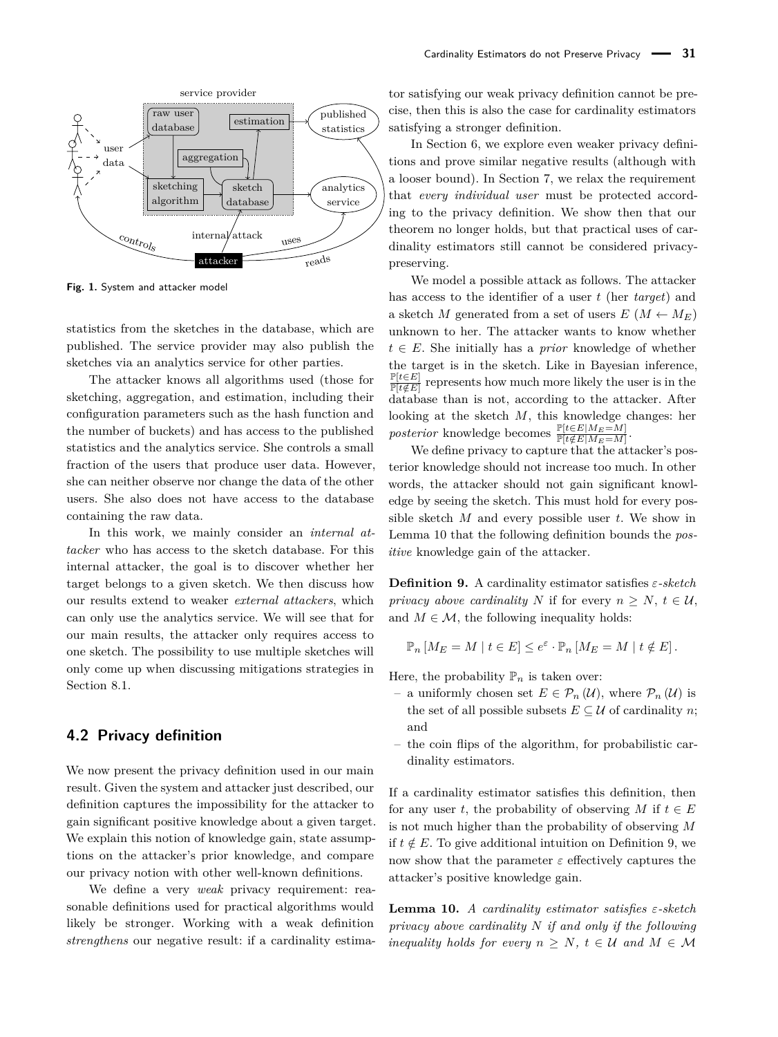<span id="page-5-1"></span>

**Fig. 1.** System and attacker model

statistics from the sketches in the database, which are published. The service provider may also publish the sketches via an analytics service for other parties.

The attacker knows all algorithms used (those for sketching, aggregation, and estimation, including their configuration parameters such as the hash function and the number of buckets) and has access to the published statistics and the analytics service. She controls a small fraction of the users that produce user data. However, she can neither observe nor change the data of the other users. She also does not have access to the database containing the raw data.

In this work, we mainly consider an *internal attacker* who has access to the sketch database. For this internal attacker, the goal is to discover whether her target belongs to a given sketch. We then discuss how our results extend to weaker *external attackers*, which can only use the analytics service. We will see that for our main results, the attacker only requires access to one sketch. The possibility to use multiple sketches will only come up when discussing mitigations strategies in Section [8.1.](#page-14-1)

#### <span id="page-5-0"></span>**4.2 Privacy definition**

We now present the privacy definition used in our main result. Given the system and attacker just described, our definition captures the impossibility for the attacker to gain significant positive knowledge about a given target. We explain this notion of knowledge gain, state assumptions on the attacker's prior knowledge, and compare our privacy notion with other well-known definitions.

We define a very *weak* privacy requirement: reasonable definitions used for practical algorithms would likely be stronger. Working with a weak definition *strengthens* our negative result: if a cardinality estimator satisfying our weak privacy definition cannot be precise, then this is also the case for cardinality estimators satisfying a stronger definition.

In Section [6,](#page-11-0) we explore even weaker privacy definitions and prove similar negative results (although with a looser bound). In Section [7,](#page-12-0) we relax the requirement that *every individual user* must be protected according to the privacy definition. We show then that our theorem no longer holds, but that practical uses of cardinality estimators still cannot be considered privacypreserving.

We model a possible attack as follows. The attacker has access to the identifier of a user *t* (her *target*) and a sketch *M* generated from a set of users  $E(M \leftarrow M_E)$ unknown to her. The attacker wants to know whether  $t \in E$ . She initially has a *prior* knowledge of whether the target is in the sketch. Like in Bayesian inference, P[*t*∈*E*] P[*t /*∈*E*] represents how much more likely the user is in the database than is not, according to the attacker. After looking at the sketch *M*, this knowledge changes: her *posterior* knowledge becomes  $\frac{\mathbb{P}[t \in E|M_E=M]}{\mathbb{P}[t \notin E|M_E=M]}$ .

We define privacy to capture that the attacker's posterior knowledge should not increase too much. In other words, the attacker should not gain significant knowledge by seeing the sketch. This must hold for every possible sketch *M* and every possible user *t*. We show in Lemma [10](#page-5-2) that the following definition bounds the *positive* knowledge gain of the attacker.

<span id="page-5-3"></span>**Definition 9.** A cardinality estimator satisfies *ε-sketch privacy above cardinality N* if for every  $n \geq N$ ,  $t \in \mathcal{U}$ , and  $M \in \mathcal{M}$ , the following inequality holds:

$$
\mathbb{P}_n \left[ M_E = M \mid t \in E \right] \le e^{\varepsilon} \cdot \mathbb{P}_n \left[ M_E = M \mid t \notin E \right].
$$

Here, the probability  $\mathbb{P}_n$  is taken over:

- a uniformly chosen set  $E \in \mathcal{P}_n(\mathcal{U})$ , where  $\mathcal{P}_n(\mathcal{U})$  is the set of all possible subsets  $E \subseteq \mathcal{U}$  of cardinality *n*; and
- the coin flips of the algorithm, for probabilistic cardinality estimators.

If a cardinality estimator satisfies this definition, then for any user *t*, the probability of observing *M* if  $t \in E$ is not much higher than the probability of observing *M* if  $t \notin E$ . To give additional intuition on Definition [9,](#page-5-3) we now show that the parameter  $\varepsilon$  effectively captures the attacker's positive knowledge gain.

<span id="page-5-2"></span>**Lemma 10.** *A cardinality estimator satisfies ε-sketch privacy above cardinality N if and only if the following inequality holds for every*  $n > N$ ,  $t \in U$  and  $M \in M$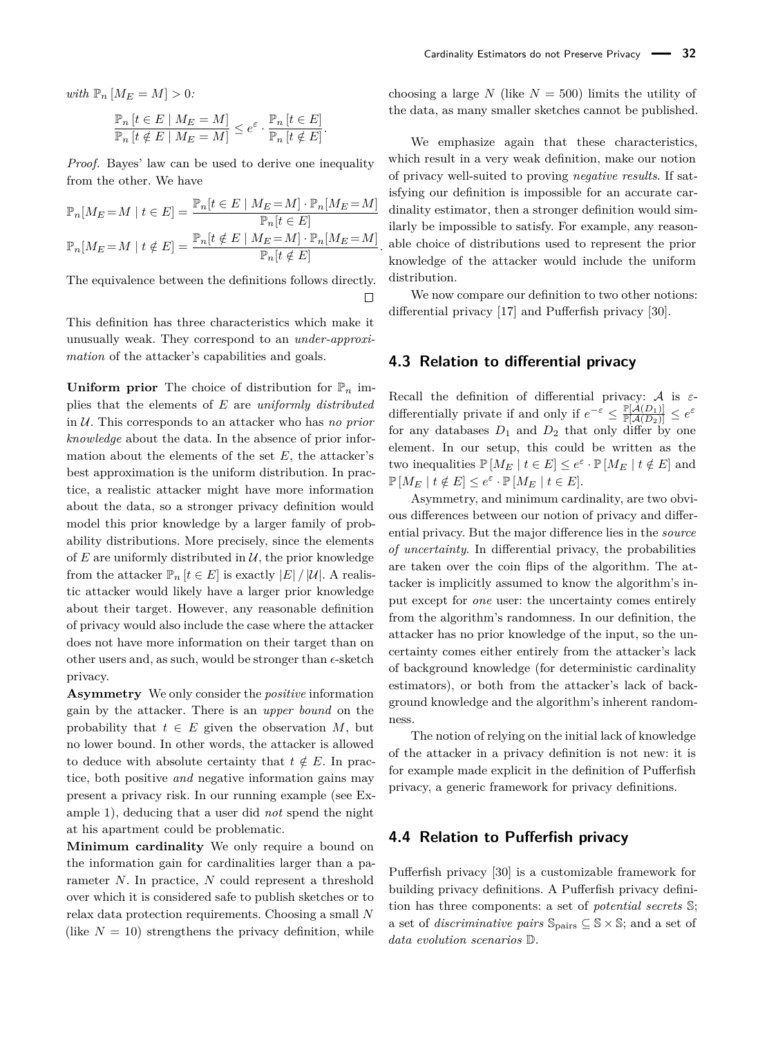*with*  $\mathbb{P}_n \left[ M_E = M \right] > 0$ *:*  $\mathbb{P}$  [*t* ∈ *E* |  $M_E$  =  $M$ ] P*<sup>n</sup>* [*t* ∈ *E*]

$$
\frac{\mathbb{F}_n\left[t \in E \mid M_E = M\right]}{\mathbb{F}_n\left[t \notin E \mid M_E = M\right]} \leq e^{\varepsilon} \cdot \frac{\mathbb{F}_n\left[t \in E\right]}{\mathbb{P}_n\left[t \notin E\right]}.
$$

*Proof.* Bayes' law can be used to derive one inequality from the other. We have

$$
\mathbb{P}_n[M_E = M \mid t \in E] = \frac{\mathbb{P}_n[t \in E \mid M_E = M] \cdot \mathbb{P}_n[M_E = M]}{\mathbb{P}_n[t \in E]}
$$

$$
\mathbb{P}_n[M_E = M \mid t \notin E] = \frac{\mathbb{P}_n[t \notin E \mid M_E = M] \cdot \mathbb{P}_n[M_E = M]}{\mathbb{P}_n[t \notin E]}
$$

The equivalence between the definitions follows directly.  $\Box$ 

This definition has three characteristics which make it unusually weak. They correspond to an *under-approximation* of the attacker's capabilities and goals.

**Uniform prior** The choice of distribution for  $\mathbb{P}_n$  implies that the elements of *E* are *uniformly distributed* in U. This corresponds to an attacker who has *no prior knowledge* about the data. In the absence of prior information about the elements of the set *E*, the attacker's best approximation is the uniform distribution. In practice, a realistic attacker might have more information about the data, so a stronger privacy definition would model this prior knowledge by a larger family of probability distributions. More precisely, since the elements of  $E$  are uniformly distributed in  $\mathcal{U}$ , the prior knowledge from the attacker  $\mathbb{P}_n$   $[t \in E]$  is exactly  $|E| / |\mathcal{U}|$ . A realistic attacker would likely have a larger prior knowledge about their target. However, any reasonable definition of privacy would also include the case where the attacker does not have more information on their target than on other users and, as such, would be stronger than  $\epsilon$ -sketch privacy.

**Asymmetry** We only consider the *positive* information gain by the attacker. There is an *upper bound* on the probability that  $t \in E$  given the observation M, but no lower bound. In other words, the attacker is allowed to deduce with absolute certainty that  $t \notin E$ . In practice, both positive *and* negative information gains may present a privacy risk. In our running example (see Example [1\)](#page-0-0), deducing that a user did *not* spend the night at his apartment could be problematic.

**Minimum cardinality** We only require a bound on the information gain for cardinalities larger than a parameter *N*. In practice, *N* could represent a threshold over which it is considered safe to publish sketches or to relax data protection requirements. Choosing a small *N* (like  $N = 10$ ) strengthens the privacy definition, while

choosing a large *N* (like  $N = 500$ ) limits the utility of the data, as many smaller sketches cannot be published.

We emphasize again that these characteristics, which result in a very weak definition, make our notion of privacy well-suited to proving *negative results*. If satisfying our definition is impossible for an accurate cardinality estimator, then a stronger definition would similarly be impossible to satisfy. For example, any reasonable choice of distributions used to represent the prior knowledge of the attacker would include the uniform distribution.

We now compare our definition to two other notions: differential privacy [\[17\]](#page-16-18) and Pufferfish privacy [\[30\]](#page-17-6).

#### **4.3 Relation to differential privacy**

*.*

Recall the definition of differential privacy: A is *ε*differentially private if and only if  $e^{-\varepsilon} \leq \frac{\mathbb{P}[\mathcal{A}(D_1)]}{\mathbb{P}[\mathcal{A}(D_2)]} \leq e^{\varepsilon}$ for any databases  $D_1$  and  $D_2$  that only differ by one element. In our setup, this could be written as the two inequalities  $\mathbb{P}[M_E \mid t \in E] \leq e^{\varepsilon} \cdot \mathbb{P}[M_E \mid t \notin E]$  and  $\mathbb{P}[M_E \mid t \notin E] \leq e^{\varepsilon} \cdot \mathbb{P}[M_E \mid t \in E].$ 

Asymmetry, and minimum cardinality, are two obvious differences between our notion of privacy and differential privacy. But the major difference lies in the *source of uncertainty*. In differential privacy, the probabilities are taken over the coin flips of the algorithm. The attacker is implicitly assumed to know the algorithm's input except for *one* user: the uncertainty comes entirely from the algorithm's randomness. In our definition, the attacker has no prior knowledge of the input, so the uncertainty comes either entirely from the attacker's lack of background knowledge (for deterministic cardinality estimators), or both from the attacker's lack of background knowledge and the algorithm's inherent randomness.

The notion of relying on the initial lack of knowledge of the attacker in a privacy definition is not new: it is for example made explicit in the definition of Pufferfish privacy, a generic framework for privacy definitions.

#### **4.4 Relation to Pufferfish privacy**

Pufferfish privacy [\[30\]](#page-17-6) is a customizable framework for building privacy definitions. A Pufferfish privacy definition has three components: a set of *potential secrets* S; a set of *discriminative pairs* Spairs ⊆ S × S; and a set of *data evolution scenarios* D.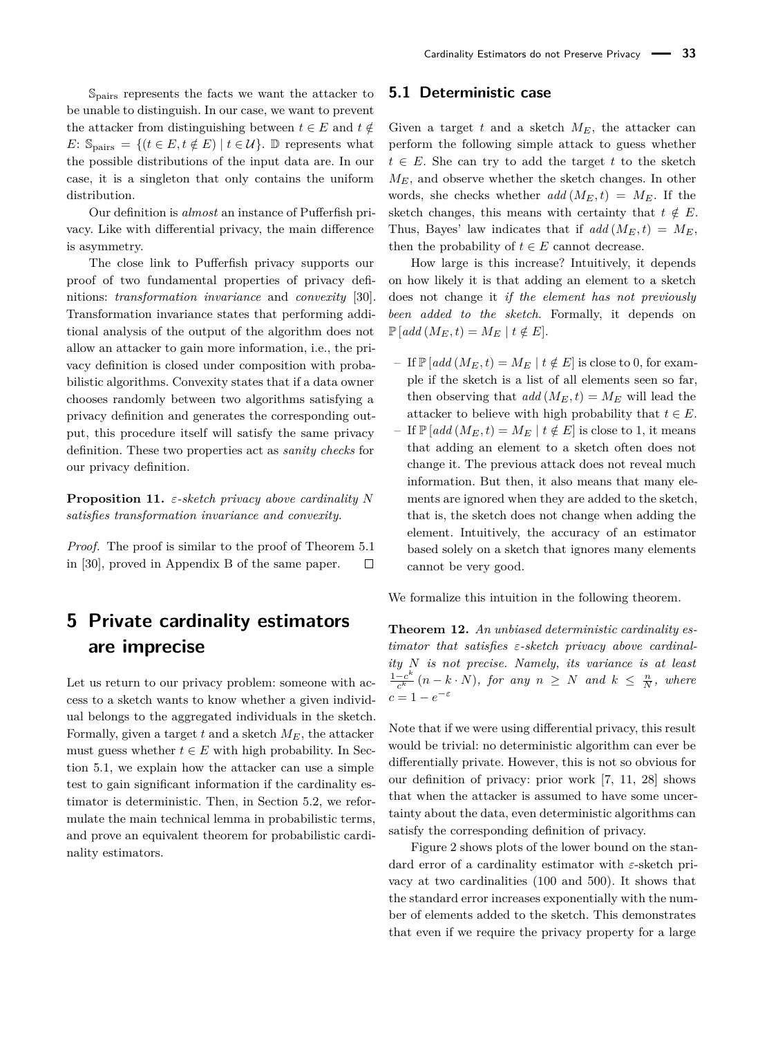Spairs represents the facts we want the attacker to be unable to distinguish. In our case, we want to prevent the attacker from distinguishing between  $t \in E$  and  $t \notin$ *E*:  $\mathbb{S}_{\text{pairs}} = \{ (t \in E, t \notin E) \mid t \in \mathcal{U} \}.$  D represents what the possible distributions of the input data are. In our case, it is a singleton that only contains the uniform distribution.

Our definition is *almost* an instance of Pufferfish privacy. Like with differential privacy, the main difference is asymmetry.

The close link to Pufferfish privacy supports our proof of two fundamental properties of privacy definitions: *transformation invariance* and *convexity* [\[30\]](#page-17-6). Transformation invariance states that performing additional analysis of the output of the algorithm does not allow an attacker to gain more information, i.e., the privacy definition is closed under composition with probabilistic algorithms. Convexity states that if a data owner chooses randomly between two algorithms satisfying a privacy definition and generates the corresponding output, this procedure itself will satisfy the same privacy definition. These two properties act as *sanity checks* for our privacy definition.

**Proposition 11.** *ε-sketch privacy above cardinality N satisfies transformation invariance and convexity.*

*Proof.* The proof is similar to the proof of Theorem 5.1 in [\[30\]](#page-17-6), proved in Appendix B of the same paper.  $\Box$ 

## <span id="page-7-0"></span>**5 Private cardinality estimators are imprecise**

Let us return to our privacy problem: someone with access to a sketch wants to know whether a given individual belongs to the aggregated individuals in the sketch. Formally, given a target  $t$  and a sketch  $M_E$ , the attacker must guess whether  $t \in E$  with high probability. In Section [5.1,](#page-7-1) we explain how the attacker can use a simple test to gain significant information if the cardinality estimator is deterministic. Then, in Section [5.2,](#page-9-0) we reformulate the main technical lemma in probabilistic terms, and prove an equivalent theorem for probabilistic cardinality estimators.

#### <span id="page-7-1"></span>**5.1 Deterministic case**

Given a target *t* and a sketch  $M_E$ , the attacker can perform the following simple attack to guess whether  $t \in E$ . She can try to add the target *t* to the sketch  $M_E$ , and observe whether the sketch changes. In other words, she checks whether  $add(M_E,t) = M_E$ . If the sketch changes, this means with certainty that  $t \notin E$ . Thus, Bayes' law indicates that if  $add(M_E, t) = M_E$ , then the probability of  $t \in E$  cannot decrease.

How large is this increase? Intuitively, it depends on how likely it is that adding an element to a sketch does not change it *if the element has not previously been added to the sketch*. Formally, it depends on  $\mathbb{P}\left[ add\left(M_E, t\right) = M_E \mid t \notin E \right].$ 

- $-I$  If  $\mathbb{P}[add(M_E,t) = M_E | t \notin E]$  is close to 0, for example if the sketch is a list of all elements seen so far, then observing that  $add(M_E, t) = M_E$  will lead the attacker to believe with high probability that  $t \in E$ .
- $-I$  If  $\mathbb{P}[add(M_E,t) = M_E | t \notin E]$  is close to 1, it means that adding an element to a sketch often does not change it. The previous attack does not reveal much information. But then, it also means that many elements are ignored when they are added to the sketch, that is, the sketch does not change when adding the element. Intuitively, the accuracy of an estimator based solely on a sketch that ignores many elements cannot be very good.

We formalize this intuition in the following theorem.

<span id="page-7-2"></span>**Theorem 12.** *An unbiased deterministic cardinality estimator that satisfies ε-sketch privacy above cardinality N is not precise. Namely, its variance is at least*  $1-c^k$  $\frac{-c^k}{c^k}$   $(n - k \cdot N)$ *, for any*  $n \geq N$  *and*  $k \leq \frac{n}{N}$ *, where*  $c = 1 - e^{-\varepsilon}$ 

Note that if we were using differential privacy, this result would be trivial: no deterministic algorithm can ever be differentially private. However, this is not so obvious for our definition of privacy: prior work [\[7,](#page-16-14) [11,](#page-16-15) [28\]](#page-16-17) shows that when the attacker is assumed to have some uncertainty about the data, even deterministic algorithms can satisfy the corresponding definition of privacy.

Figure [2](#page-8-0) shows plots of the lower bound on the standard error of a cardinality estimator with *ε*-sketch privacy at two cardinalities (100 and 500). It shows that the standard error increases exponentially with the number of elements added to the sketch. This demonstrates that even if we require the privacy property for a large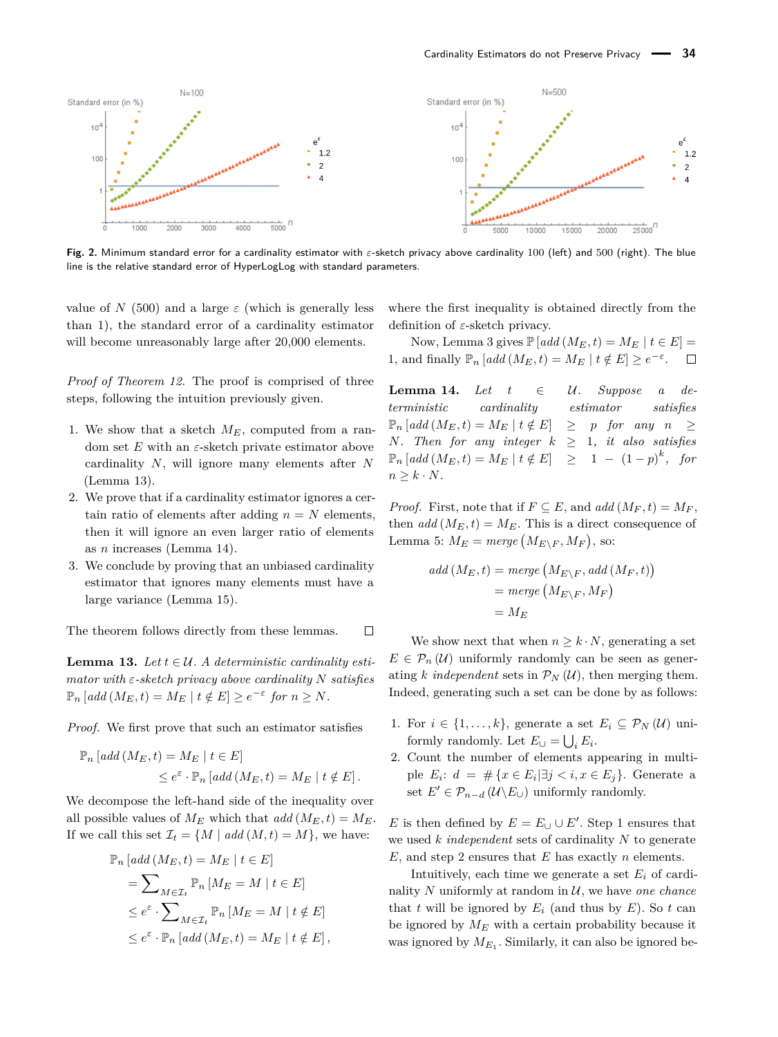<span id="page-8-0"></span>

**Fig. 2.** Minimum standard error for a cardinality estimator with *ε*-sketch privacy above cardinality 100 (left) and 500 (right). The blue line is the relative standard error of HyperLogLog with standard parameters.

value of *N* (500) and a large  $\varepsilon$  (which is generally less than 1), the standard error of a cardinality estimator will become unreasonably large after 20,000 elements.

*Proof of Theorem [12.](#page-7-2)* The proof is comprised of three steps, following the intuition previously given.

- 1. We show that a sketch  $M_E$ , computed from a random set *E* with an *ε*-sketch private estimator above cardinality *N*, will ignore many elements after *N* (Lemma [13\)](#page-8-1).
- 2. We prove that if a cardinality estimator ignores a certain ratio of elements after adding  $n = N$  elements, then it will ignore an even larger ratio of elements as *n* increases (Lemma [14\)](#page-8-2).
- 3. We conclude by proving that an unbiased cardinality estimator that ignores many elements must have a large variance (Lemma [15\)](#page-9-1).

The theorem follows directly from these lemmas.  $\Box$ 

<span id="page-8-1"></span>**Lemma 13.** *Let*  $t \in \mathcal{U}$ . A deterministic cardinality esti*mator with ε-sketch privacy above cardinality N satisfies*  $\mathbb{P}_n$  [add  $(M_E, t) = M_E \mid t \notin E] \geq e^{-\varepsilon}$  for  $n \geq N$ .

*Proof.* We first prove that such an estimator satisfies

$$
\mathbb{P}_n\left[\text{add}\left(M_E, t\right) = M_E \mid t \in E\right]
$$
  

$$
\leq e^{\varepsilon} \cdot \mathbb{P}_n\left[\text{add}\left(M_E, t\right) = M_E \mid t \notin E\right].
$$

We decompose the left-hand side of the inequality over all possible values of  $M_E$  which that  $add(M_E, t) = M_E$ . If we call this set  $\mathcal{I}_t = \{M \mid add(M, t) = M\}$ , we have:

$$
\mathbb{P}_n \left[ \text{add} \left( M_E, t \right) = M_E \mid t \in E \right]
$$
\n
$$
= \sum_{M \in \mathcal{I}_t} \mathbb{P}_n \left[ M_E = M \mid t \in E \right]
$$
\n
$$
\leq e^{\varepsilon} \cdot \sum_{M \in \mathcal{I}_t} \mathbb{P}_n \left[ M_E = M \mid t \notin E \right]
$$
\n
$$
\leq e^{\varepsilon} \cdot \mathbb{P}_n \left[ \text{add} \left( M_E, t \right) = M_E \mid t \notin E \right],
$$

where the first inequality is obtained directly from the definition of *ε*-sketch privacy.

Now, Lemma [3](#page-3-3) gives  $\mathbb{P}[add(M_E,t) = M_E | t \in E] =$ 1, and finally  $\mathbb{P}_n$  [*add* ( $M_E, t$ ) =  $M_E$  |  $t \notin E$ ] ≥  $e^{-\varepsilon}$ .  $\Box$ 

<span id="page-8-2"></span>**Lemma 14.** *Let*  $t \in \mathcal{U}$ . Suppose a de*terministic cardinality estimator satisfies*  $\mathbb{P}_n$  [add  $(M_E, t) = M_E | t \notin E | \geq p$  for any  $n \geq$ *N.* Then for any integer  $k \geq 1$ *, it also satisfies*  $\mathbb{P}_n \left[ add \left( M_E, t \right) = M_E \mid t \notin E \right] \geq 1 - (1 - p)^k$ , for  $n \geq k \cdot N$ .

*Proof.* First, note that if  $F \subseteq E$ , and  $add(M_F, t) = M_F$ , then  $add(M_E, t) = M_E$ . This is a direct consequence of Lemma [5:](#page-3-2)  $M_E = merge(M_{E\setminus F}, M_F)$ , so:

$$
add\left(M_E, t\right) = merge\left(M_{E\setminus F}, add\left(M_F, t\right)\right)
$$

$$
= merge\left(M_{E\setminus F}, M_F\right)
$$

$$
= M_E
$$

We show next that when  $n \geq k \cdot N$ , generating a set  $E \in \mathcal{P}_n(\mathcal{U})$  uniformly randomly can be seen as generating *k independent* sets in  $\mathcal{P}_N(\mathcal{U})$ , then merging them. Indeed, generating such a set can be done by as follows:

- 1. For  $i \in \{1, \ldots, k\}$ , generate a set  $E_i \subseteq \mathcal{P}_N(\mathcal{U})$  uniformly randomly. Let  $E_{\cup} = \bigcup_i E_i$ .
- 2. Count the number of elements appearing in multiple  $E_i$ :  $d = \# \{x \in E_i | \exists j < i, x \in E_j \}.$  Generate a set  $E' \in \mathcal{P}_{n-d}(\mathcal{U} \backslash E_{\cup})$  uniformly randomly.

*E* is then defined by  $E = E \cup \cup E'$ . Step 1 ensures that we used *k independent* sets of cardinality *N* to generate *E*, and step 2 ensures that *E* has exactly *n* elements.

Intuitively, each time we generate a set  $E_i$  of cardinality  $N$  uniformly at random in  $U$ , we have *one chance* that *t* will be ignored by  $E_i$  (and thus by  $E$ ). So *t* can be ignored by  $M_E$  with a certain probability because it was ignored by  $M_{E_1}$ . Similarly, it can also be ignored be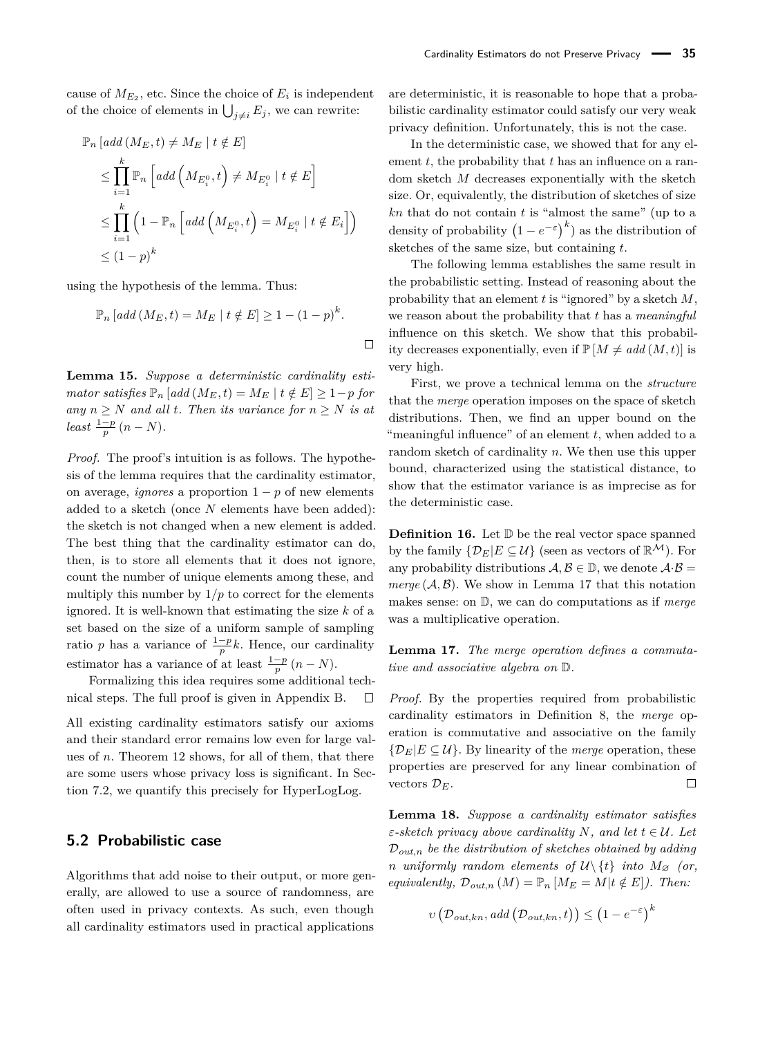cause of  $M_{E_2}$ , etc. Since the choice of  $E_i$  is independent of the choice of elements in  $\bigcup_{j\neq i} E_j$ , we can rewrite:

$$
\mathbb{P}_n \left[ add(M_E, t) \neq M_E \mid t \notin E \right]
$$
\n
$$
\leq \prod_{i=1}^k \mathbb{P}_n \left[ add\left(M_{E_i^0}, t\right) \neq M_{E_i^0} \mid t \notin E \right]
$$
\n
$$
\leq \prod_{i=1}^k \left(1 - \mathbb{P}_n \left[ add\left(M_{E_i^0}, t\right) = M_{E_i^0} \mid t \notin E_i \right] \right)
$$
\n
$$
\leq \left(1 - p\right)^k
$$

using the hypothesis of the lemma. Thus:

$$
\mathbb{P}_n\left[\text{add}\left(M_E, t\right) = M_E \mid t \notin E\right] \ge 1 - \left(1 - p\right)^k.
$$

<span id="page-9-1"></span>**Lemma 15.** *Suppose a deterministic cardinality estimator satisfies*  $\mathbb{P}_n$  [*add* ( $M_E, t$ ) =  $M_E$  |  $t \notin E$ ] ≥ 1-*p for any*  $n \geq N$  *and all t. Then its variance for*  $n \geq N$  *is at*  $least \frac{1-p}{p}(n-N).$ 

*Proof.* The proof's intuition is as follows. The hypothesis of the lemma requires that the cardinality estimator, on average, *ignores* a proportion  $1 - p$  of new elements added to a sketch (once *N* elements have been added): the sketch is not changed when a new element is added. The best thing that the cardinality estimator can do, then, is to store all elements that it does not ignore, count the number of unique elements among these, and multiply this number by  $1/p$  to correct for the elements ignored. It is well-known that estimating the size *k* of a set based on the size of a uniform sample of sampling ratio *p* has a variance of  $\frac{1-p}{p}k$ . Hence, our cardinality estimator has a variance of at least  $\frac{1-p}{p}(n-N)$ .

Formalizing this idea requires some additional technical steps. The full proof is given in Appendix [B.](#page-17-11)  $\Box$ 

All existing cardinality estimators satisfy our axioms and their standard error remains low even for large values of *n*. Theorem [12](#page-7-2) shows, for all of them, that there are some users whose privacy loss is significant. In Section [7.2,](#page-12-1) we quantify this precisely for HyperLogLog.

#### <span id="page-9-0"></span>**5.2 Probabilistic case**

Algorithms that add noise to their output, or more generally, are allowed to use a source of randomness, are often used in privacy contexts. As such, even though all cardinality estimators used in practical applications

are deterministic, it is reasonable to hope that a probabilistic cardinality estimator could satisfy our very weak privacy definition. Unfortunately, this is not the case.

In the deterministic case, we showed that for any element *t*, the probability that *t* has an influence on a random sketch *M* decreases exponentially with the sketch size. Or, equivalently, the distribution of sketches of size *kn* that do not contain *t* is "almost the same" (up to a density of probability  $(1 - e^{-\varepsilon})^k$  as the distribution of sketches of the same size, but containing *t*.

The following lemma establishes the same result in the probabilistic setting. Instead of reasoning about the probability that an element *t* is "ignored" by a sketch *M*, we reason about the probability that *t* has a *meaningful* influence on this sketch. We show that this probability decreases exponentially, even if  $\mathbb{P}[M \neq add(M, t)]$  is very high.

First, we prove a technical lemma on the *structure* that the *merge* operation imposes on the space of sketch distributions. Then, we find an upper bound on the "meaningful influence" of an element *t*, when added to a random sketch of cardinality *n*. We then use this upper bound, characterized using the statistical distance, to show that the estimator variance is as imprecise as for the deterministic case.

**Definition 16.** Let  $\mathbb{D}$  be the real vector space spanned by the family  $\{\mathcal{D}_E | E \subseteq \mathcal{U}\}\$  (seen as vectors of  $\mathbb{R}^{\mathcal{M}}$ ). For any probability distributions  $A, B \in \mathbb{D}$ , we denote  $A \cdot B =$  $merge (A, B)$ . We show in Lemma [17](#page-9-2) that this notation makes sense: on D, we can do computations as if *merge* was a multiplicative operation.

<span id="page-9-2"></span>**Lemma 17.** *The merge operation defines a commutative and associative algebra on* D*.*

*Proof.* By the properties required from probabilistic cardinality estimators in Definition [8,](#page-4-1) the *merge* operation is commutative and associative on the family  $\{\mathcal{D}_E|E\subseteq\mathcal{U}\}\$ . By linearity of the *merge* operation, these properties are preserved for any linear combination of vectors  $\mathcal{D}_E$ .  $\Box$ 

<span id="page-9-3"></span>**Lemma 18.** *Suppose a cardinality estimator satisfies ε*-sketch privacy above cardinality N, and let  $t \in \mathcal{U}$ . Let D*out,n be the distribution of sketches obtained by adding n uniformly random elements of*  $U\backslash\{t\}$  *into*  $M_{\varnothing}$  *(or, equivalently,*  $\mathcal{D}_{out,n}(M) = \mathbb{P}_n \left[ M_E = M | t \notin E \right]$ *). Then:* 

$$
v\left(\mathcal{D}_{out,kn}, add\left(\mathcal{D}_{out,kn}, t\right)\right) \leq (1 - e^{-\varepsilon})^k
$$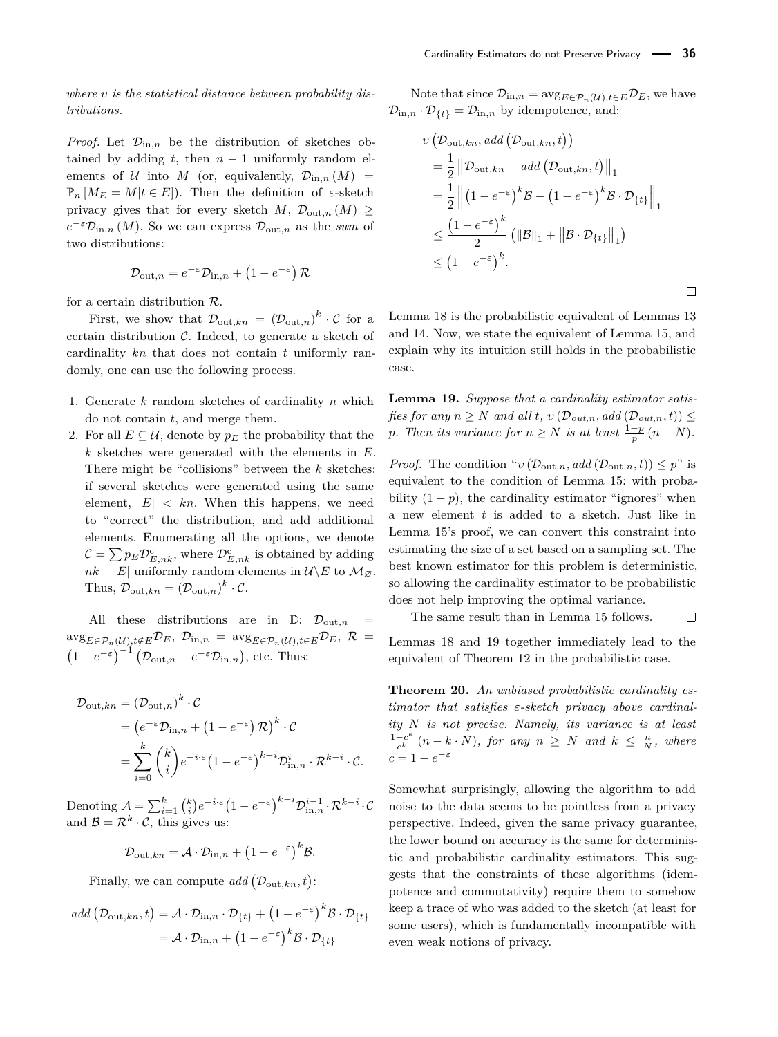*where υ is the statistical distance between probability distributions.*

*Proof.* Let  $\mathcal{D}_{\text{in},n}$  be the distribution of sketches obtained by adding  $t$ , then  $n-1$  uniformly random elements of  $U$  into  $M$  (or, equivalently,  $\mathcal{D}_{\text{in},n}(M)$  =  $\mathbb{P}_n [M_E = M | t \in E]$ . Then the definition of  $\varepsilon$ -sketch privacy gives that for every sketch *M*,  $\mathcal{D}_{\text{out},n}(M)$  $e^{-\varepsilon} \mathcal{D}_{\text{in},n}(M)$ . So we can express  $\mathcal{D}_{\text{out},n}$  as the *sum* of two distributions:

$$
\mathcal{D}_{\text{out},n} = e^{-\varepsilon} \mathcal{D}_{\text{in},n} + \left(1 - e^{-\varepsilon}\right) \mathcal{R}
$$

for a certain distribution  $R$ .

First, we show that  $\mathcal{D}_{\text{out},kn} = (\mathcal{D}_{\text{out},n})^k \cdot \mathcal{C}$  for a certain distribution  $C$ . Indeed, to generate a sketch of cardinality *kn* that does not contain *t* uniformly randomly, one can use the following process.

- 1. Generate *k* random sketches of cardinality *n* which do not contain *t*, and merge them.
- 2. For all  $E \subseteq \mathcal{U}$ , denote by  $p_E$  the probability that the *k* sketches were generated with the elements in *E*. There might be "collisions" between the *k* sketches: if several sketches were generated using the same element,  $|E| < kn$ . When this happens, we need to "correct" the distribution, and add additional elements. Enumerating all the options, we denote  $\mathcal{C} = \sum p_E \mathcal{D}_{E,nk}^{\text{c}}$ , where  $\mathcal{D}_{E,nk}^{\text{c}}$  is obtained by adding  $nk - |E|$  uniformly random elements in  $\mathcal{U}\backslash E$  to  $\mathcal{M}_{\varnothing}$ . Thus,  $\mathcal{D}_{\text{out},kn} = (\mathcal{D}_{\text{out},n})^k \cdot \mathcal{C}.$

All these distributions are in  $\mathbb{D}$ :  $\mathcal{D}_{\text{out},n}$  $\arg_{E \in \mathcal{P}_n(\mathcal{U}), t \notin E} \mathcal{D}_E, \mathcal{D}_{\text{in},n} = \arg_{E \in \mathcal{P}_n(\mathcal{U}), t \in E} \mathcal{D}_E, \mathcal{R} =$  $(1 - e^{-\varepsilon})^{-1} (\mathcal{D}_{\text{out},n} - e^{-\varepsilon} \mathcal{D}_{\text{in},n}),$  etc. Thus:

$$
\mathcal{D}_{\text{out},kn} = (\mathcal{D}_{\text{out},n})^k \cdot \mathcal{C}
$$
  
=  $(e^{-\varepsilon} \mathcal{D}_{\text{in},n} + (1 - e^{-\varepsilon}) \mathcal{R})^k \cdot \mathcal{C}$   
=  $\sum_{i=0}^k {k \choose i} e^{-i \cdot \varepsilon} (1 - e^{-\varepsilon})^{k-i} \mathcal{D}_{\text{in},n}^i \cdot \mathcal{R}^{k-i} \cdot \mathcal{C}.$ 

Denoting  $A = \sum_{i=1}^{k} {k \choose i} e^{-i \cdot \varepsilon} \left(1 - e^{-\varepsilon}\right)^{k-i} \mathcal{D}^{i-1}_{\text{in},n} \cdot \mathcal{R}^{k-i} \cdot \mathcal{C}$ and  $\mathcal{B} = \mathcal{R}^k \cdot \mathcal{C}$ , this gives us:

$$
\mathcal{D}_{\text{out},kn} = \mathcal{A} \cdot \mathcal{D}_{\text{in},n} + \left(1 - e^{-\varepsilon}\right)^k \mathcal{B}.
$$

Finally, we can compute  $add(\mathcal{D}_{\text{out},kn},t)$ :

$$
add\left(\mathcal{D}_{\text{out},kn},t\right) = \mathcal{A}\cdot\mathcal{D}_{\text{in},n}\cdot\mathcal{D}_{\{t\}} + \left(1 - e^{-\varepsilon}\right)^{k} \mathcal{B}\cdot\mathcal{D}_{\{t\}}
$$

$$
= \mathcal{A}\cdot\mathcal{D}_{\text{in},n} + \left(1 - e^{-\varepsilon}\right)^{k} \mathcal{B}\cdot\mathcal{D}_{\{t\}}
$$

Note that since  $\mathcal{D}_{\text{in},n} = \arg_{E \in \mathcal{P}_n(\mathcal{U}), t \in E} \mathcal{D}_E$ , we have  $\mathcal{D}_{\text{in},n} \cdot \mathcal{D}_{\{t\}} = \mathcal{D}_{\text{in},n}$  by idempotence, and:

$$
v\left(\mathcal{D}_{\text{out},kn}, add\left(\mathcal{D}_{\text{out},kn},t\right)\right)
$$
  
=  $\frac{1}{2} ||\mathcal{D}_{\text{out},kn} - add\left(\mathcal{D}_{\text{out},kn},t\right)||_1$   
=  $\frac{1}{2} ||(1 - e^{-\varepsilon})^k \mathcal{B} - (1 - e^{-\varepsilon})^k \mathcal{B} \cdot \mathcal{D}_{\{t\}}||_1$   
 $\leq \frac{(1 - e^{-\varepsilon})^k}{2} (||\mathcal{B}||_1 + ||\mathcal{B} \cdot \mathcal{D}_{\{t\}}||_1)$   
 $\leq (1 - e^{-\varepsilon})^k.$ 

 $\Box$ 

Lemma [18](#page-9-3) is the probabilistic equivalent of Lemmas [13](#page-8-1) and [14.](#page-8-2) Now, we state the equivalent of Lemma [15,](#page-9-1) and explain why its intuition still holds in the probabilistic case.

<span id="page-10-0"></span>**Lemma 19.** *Suppose that a cardinality estimator satisfies for any*  $n \geq N$  *and all*  $t$ *,*  $v(\mathcal{D}_{out,n}, add(\mathcal{D}_{out,n}, t)) \leq$ *p. Then its variance for*  $n \geq N$  *is at least*  $\frac{1-p}{p}(n-N)$ *.* 

*Proof.* The condition " $\nu$  ( $\mathcal{D}_{\text{out},n}$ *, add* ( $\mathcal{D}_{\text{out},n}$ *, t*))  $\leq p$ " is equivalent to the condition of Lemma [15:](#page-9-1) with probability  $(1 - p)$ , the cardinality estimator "ignores" when a new element *t* is added to a sketch. Just like in Lemma [15'](#page-9-1)s proof, we can convert this constraint into estimating the size of a set based on a sampling set. The best known estimator for this problem is deterministic, so allowing the cardinality estimator to be probabilistic does not help improving the optimal variance.

The same result than in Lemma [15](#page-9-1) follows.  $\Box$ 

Lemmas [18](#page-9-3) and [19](#page-10-0) together immediately lead to the equivalent of Theorem [12](#page-7-2) in the probabilistic case.

**Theorem 20.** *An unbiased probabilistic cardinality estimator that satisfies ε-sketch privacy above cardinality N is not precise. Namely, its variance is at least*  $1-c^k$  $\frac{-c^k}{c^k}$   $(n - k \cdot N)$ *, for any*  $n \geq N$  *and*  $k \leq \frac{n}{N}$ *, where*  $c = 1 - e^{-\varepsilon}$ 

Somewhat surprisingly, allowing the algorithm to add noise to the data seems to be pointless from a privacy perspective. Indeed, given the same privacy guarantee, the lower bound on accuracy is the same for deterministic and probabilistic cardinality estimators. This suggests that the constraints of these algorithms (idempotence and commutativity) require them to somehow keep a trace of who was added to the sketch (at least for some users), which is fundamentally incompatible with even weak notions of privacy.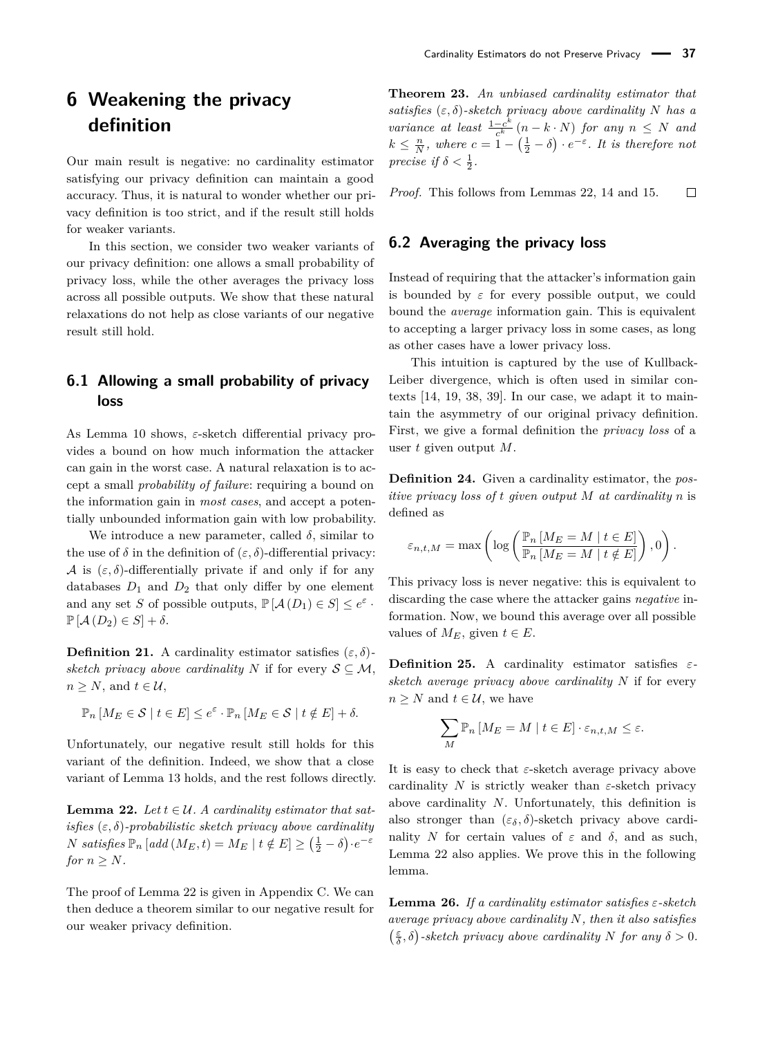## <span id="page-11-0"></span>**6 Weakening the privacy definition**

Our main result is negative: no cardinality estimator satisfying our privacy definition can maintain a good accuracy. Thus, it is natural to wonder whether our privacy definition is too strict, and if the result still holds for weaker variants.

In this section, we consider two weaker variants of our privacy definition: one allows a small probability of privacy loss, while the other averages the privacy loss across all possible outputs. We show that these natural relaxations do not help as close variants of our negative result still hold.

### **6.1 Allowing a small probability of privacy loss**

As Lemma [10](#page-5-2) shows, *ε*-sketch differential privacy provides a bound on how much information the attacker can gain in the worst case. A natural relaxation is to accept a small *probability of failure*: requiring a bound on the information gain in *most cases*, and accept a potentially unbounded information gain with low probability.

We introduce a new parameter, called  $\delta$ , similar to the use of  $\delta$  in the definition of  $(\varepsilon, \delta)$ -differential privacy: A is  $(\varepsilon, \delta)$ -differentially private if and only if for any databases  $D_1$  and  $D_2$  that only differ by one element and any set *S* of possible outputs,  $\mathbb{P}[\mathcal{A}(D_1) \in S] \leq e^{\varepsilon}$ .  $\mathbb{P} [\mathcal{A}(D_2) \in S] + \delta.$ 

**Definition 21.** A cardinality estimator satisfies  $(\varepsilon, \delta)$ *sketch privacy above cardinality N* if for every  $S \subseteq M$ ,  $n > N$ , and  $t \in \mathcal{U}$ ,

$$
\mathbb{P}_n\left[M_E \in \mathcal{S} \mid t \in E\right] \le e^{\varepsilon} \cdot \mathbb{P}_n\left[M_E \in \mathcal{S} \mid t \notin E\right] + \delta.
$$

Unfortunately, our negative result still holds for this variant of the definition. Indeed, we show that a close variant of Lemma [13](#page-8-1) holds, and the rest follows directly.

<span id="page-11-1"></span>**Lemma 22.** *Let*  $t \in \mathcal{U}$ . A cardinality estimator that sat*isfies* (*ε, δ*)*-probabilistic sketch privacy above cardinality N satisfies*  $\mathbb{P}_n$  [*add*  $(M_E, t) = M_E | t \notin E] \ge (\frac{1}{2} - \delta) \cdot e^{-\varepsilon}$ *for*  $n > N$ *.* 

The proof of Lemma [22](#page-11-1) is given in Appendix [C.](#page-18-0) We can then deduce a theorem similar to our negative result for our weaker privacy definition.

<span id="page-11-3"></span>**Theorem 23.** *An unbiased cardinality estimator that satisfies*  $(\varepsilon, \delta)$ *-sketch privacy above cardinality N has a variance at least*  $\frac{1-c^k}{c^k}$  $\frac{-c^{n}}{c^{k}}$  (*n* − *k* · *N*) *for any n* ≤ *N and*  $k \leq \frac{n}{N}$ , where  $c = 1 - (\frac{1}{2} - \delta) \cdot e^{-\varepsilon}$ . It is therefore not *precise if*  $\delta < \frac{1}{2}$ .

*Proof.* This follows from Lemmas [22,](#page-11-1) [14](#page-8-2) and [15.](#page-9-1)  $\Box$ 

#### **6.2 Averaging the privacy loss**

Instead of requiring that the attacker's information gain is bounded by  $\varepsilon$  for every possible output, we could bound the *average* information gain. This is equivalent to accepting a larger privacy loss in some cases, as long as other cases have a lower privacy loss.

This intuition is captured by the use of Kullback-Leiber divergence, which is often used in similar contexts [\[14,](#page-16-25) [19,](#page-16-26) [38,](#page-17-12) [39\]](#page-17-13). In our case, we adapt it to maintain the asymmetry of our original privacy definition. First, we give a formal definition the *privacy loss* of a user *t* given output *M*.

<span id="page-11-4"></span>**Definition 24.** Given a cardinality estimator, the *positive privacy loss of t given output M at cardinality n* is defined as

$$
\varepsilon_{n,t,M} = \max\left(\log\left(\frac{\mathbb{P}_n \left[M_E = M \mid t \in E\right]}{\mathbb{P}_n \left[M_E = M \mid t \notin E\right]}\right), 0\right).
$$

This privacy loss is never negative: this is equivalent to discarding the case where the attacker gains *negative* information. Now, we bound this average over all possible values of  $M_E$ , given  $t \in E$ .

**Definition 25.** A cardinality estimator satisfies *εsketch average privacy above cardinality N* if for every  $n \geq N$  and  $t \in \mathcal{U}$ , we have

$$
\sum_{M} \mathbb{P}_n \left[ M_E = M \mid t \in E \right] \cdot \varepsilon_{n,t,M} \le \varepsilon.
$$

It is easy to check that *ε*-sketch average privacy above cardinality *N* is strictly weaker than *ε*-sketch privacy above cardinality *N*. Unfortunately, this definition is also stronger than  $(\varepsilon_{\delta}, \delta)$ -sketch privacy above cardinality *N* for certain values of  $\varepsilon$  and  $\delta$ , and as such, Lemma [22](#page-11-1) also applies. We prove this in the following lemma.

<span id="page-11-2"></span>**Lemma 26.** *If a cardinality estimator satisfies ε-sketch average privacy above cardinality N, then it also satisfies*  $(\frac{\varepsilon}{\delta}, \delta)$ -sketch privacy above cardinality *N* for any  $\delta > 0$ .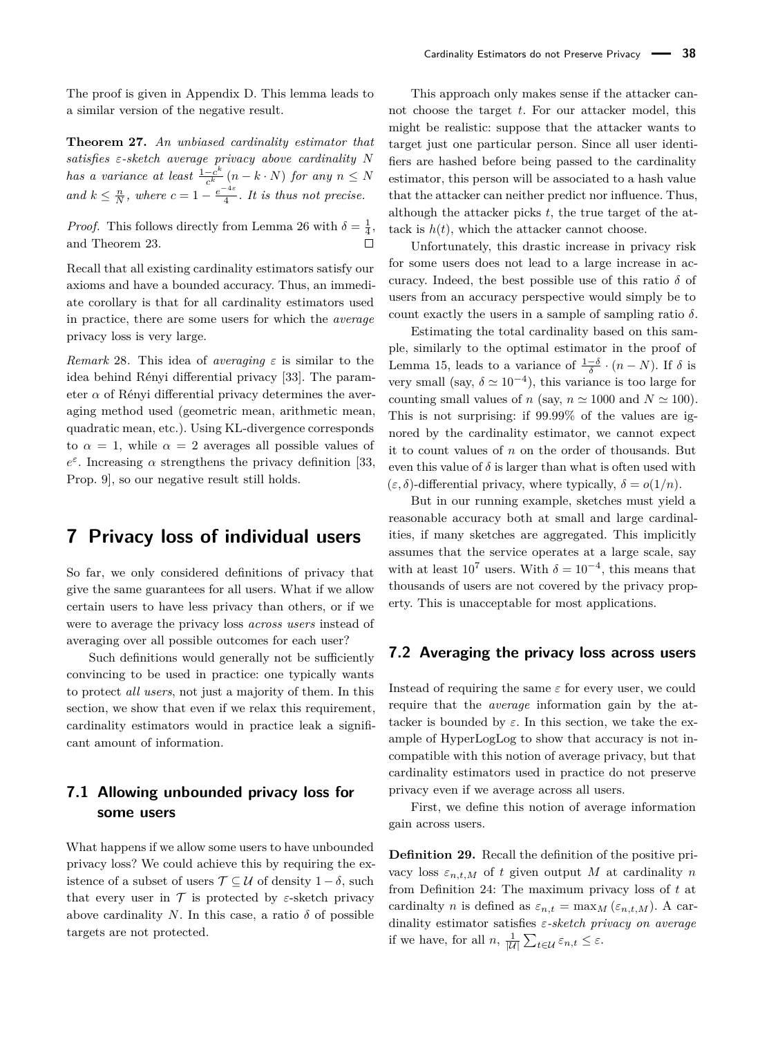The proof is given in Appendix [D.](#page-19-0) This lemma leads to a similar version of the negative result.

**Theorem 27.** *An unbiased cardinality estimator that satisfies ε-sketch average privacy above cardinality N has a variance at least*  $\frac{1-c^k}{c^k}$  $\frac{-c^{n}}{c^{k}}(n-k \cdot N)$  *for any*  $n \leq N$ *and*  $k \leq \frac{n}{N}$ *, where*  $c = 1 - \frac{e^{-4\varepsilon}}{4}$  $\frac{1}{4}$ . It is thus not precise.

*Proof.* This follows directly from Lemma [26](#page-11-2) with  $\delta = \frac{1}{4}$ , and Theorem [23.](#page-11-3)

Recall that all existing cardinality estimators satisfy our axioms and have a bounded accuracy. Thus, an immediate corollary is that for all cardinality estimators used in practice, there are some users for which the *average* privacy loss is very large.

<span id="page-12-2"></span>*Remark* 28. This idea of *averaging*  $\varepsilon$  is similar to the idea behind Rényi differential privacy [\[33\]](#page-17-14). The parameter  $\alpha$  of Rényi differential privacy determines the averaging method used (geometric mean, arithmetic mean, quadratic mean, etc.). Using KL-divergence corresponds to  $\alpha = 1$ , while  $\alpha = 2$  averages all possible values of *e*<sup>ε</sup>. Increasing *α* strengthens the privacy definition [\[33,](#page-17-14) Prop. 9], so our negative result still holds.

## <span id="page-12-0"></span>**7 Privacy loss of individual users**

So far, we only considered definitions of privacy that give the same guarantees for all users. What if we allow certain users to have less privacy than others, or if we were to average the privacy loss *across users* instead of averaging over all possible outcomes for each user?

Such definitions would generally not be sufficiently convincing to be used in practice: one typically wants to protect *all users*, not just a majority of them. In this section, we show that even if we relax this requirement. cardinality estimators would in practice leak a significant amount of information.

### **7.1 Allowing unbounded privacy loss for some users**

What happens if we allow some users to have unbounded privacy loss? We could achieve this by requiring the existence of a subset of users T ⊆ U of density 1 − *δ*, such that every user in  $\mathcal T$  is protected by  $\varepsilon$ -sketch privacy above cardinality *N*. In this case, a ratio  $\delta$  of possible targets are not protected.

This approach only makes sense if the attacker cannot choose the target *t*. For our attacker model, this might be realistic: suppose that the attacker wants to target just one particular person. Since all user identifiers are hashed before being passed to the cardinality estimator, this person will be associated to a hash value that the attacker can neither predict nor influence. Thus, although the attacker picks *t*, the true target of the attack is  $h(t)$ , which the attacker cannot choose.

Unfortunately, this drastic increase in privacy risk for some users does not lead to a large increase in accuracy. Indeed, the best possible use of this ratio *δ* of users from an accuracy perspective would simply be to count exactly the users in a sample of sampling ratio *δ*.

Estimating the total cardinality based on this sample, similarly to the optimal estimator in the proof of Lemma [15,](#page-9-1) leads to a variance of  $\frac{1-\delta}{\delta} \cdot (n-N)$ . If  $\delta$  is very small (say,  $\delta \simeq 10^{-4}$ ), this variance is too large for counting small values of *n* (say,  $n \approx 1000$  and  $N \approx 100$ ). This is not surprising: if 99*.*99% of the values are ignored by the cardinality estimator, we cannot expect it to count values of *n* on the order of thousands. But even this value of  $\delta$  is larger than what is often used with (*ε, δ*)-differential privacy, where typically, *δ* = *o*(1*/n*).

But in our running example, sketches must yield a reasonable accuracy both at small and large cardinalities, if many sketches are aggregated. This implicitly assumes that the service operates at a large scale, say with at least  $10^7$  users. With  $\delta = 10^{-4}$ , this means that thousands of users are not covered by the privacy property. This is unacceptable for most applications.

#### <span id="page-12-1"></span>**7.2 Averaging the privacy loss across users**

Instead of requiring the same *ε* for every user, we could require that the *average* information gain by the attacker is bounded by  $\varepsilon$ . In this section, we take the example of HyperLogLog to show that accuracy is not incompatible with this notion of average privacy, but that cardinality estimators used in practice do not preserve privacy even if we average across all users.

First, we define this notion of average information gain across users.

**Definition 29.** Recall the definition of the positive privacy loss  $\varepsilon_{n,t,M}$  of *t* given output *M* at cardinality *n* from Definition [24:](#page-11-4) The maximum privacy loss of *t* at cardinalty *n* is defined as  $\varepsilon_{n,t} = \max_M (\varepsilon_{n,t,M})$ . A cardinality estimator satisfies *ε-sketch privacy on average* if we have, for all  $n, \frac{1}{|\mathcal{U}|} \sum_{t \in \mathcal{U}} \varepsilon_{n,t} \leq \varepsilon$ .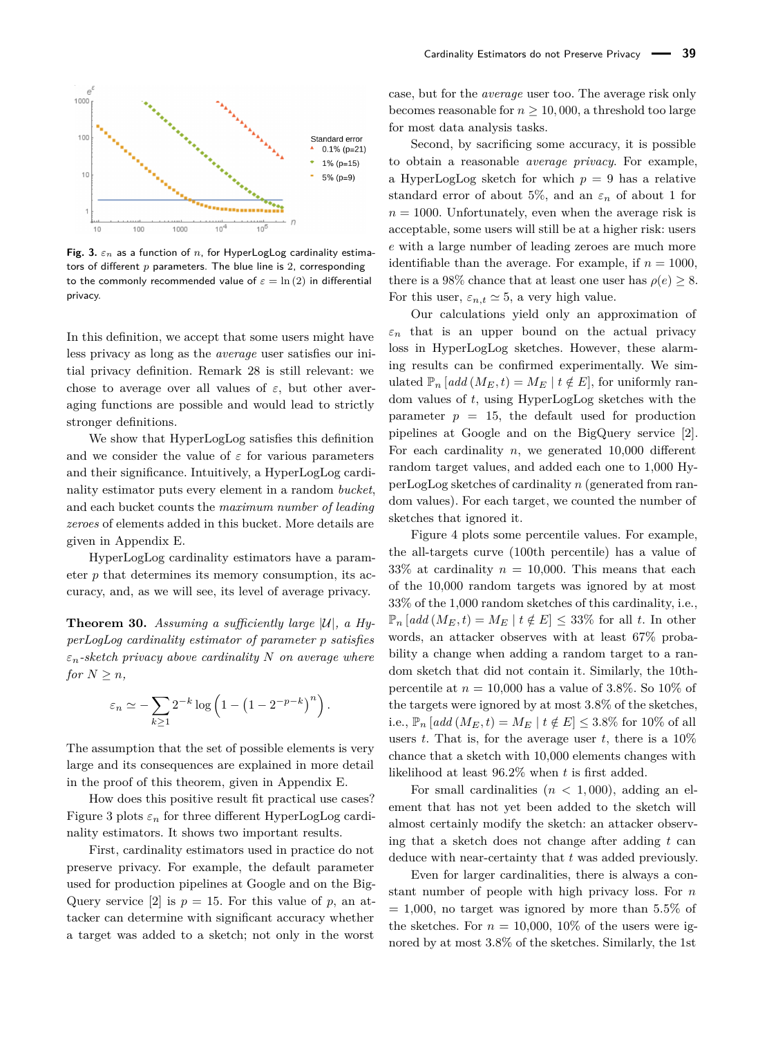<span id="page-13-0"></span>

**Fig. 3.**  $\varepsilon_n$  as a function of *n*, for HyperLogLog cardinality estimators of different *p* parameters. The blue line is 2, corresponding to the commonly recommended value of  $\varepsilon = \ln(2)$  in differential privacy.

In this definition, we accept that some users might have less privacy as long as the *average* user satisfies our initial privacy definition. Remark [28](#page-12-2) is still relevant: we chose to average over all values of *ε*, but other averaging functions are possible and would lead to strictly stronger definitions.

We show that HyperLogLog satisfies this definition and we consider the value of  $\varepsilon$  for various parameters and their significance. Intuitively, a HyperLogLog cardinality estimator puts every element in a random *bucket*, and each bucket counts the *maximum number of leading zeroes* of elements added in this bucket. More details are given in Appendix [E.](#page-19-1)

HyperLogLog cardinality estimators have a parameter *p* that determines its memory consumption, its accuracy, and, as we will see, its level of average privacy.

<span id="page-13-1"></span>**Theorem 30.** *Assuming a sufficiently large*  $|\mathcal{U}|$ *, a HyperLogLog cardinality estimator of parameter p satisfies εn-sketch privacy above cardinality N on average where for*  $N \geq n$ *,* 

$$
\varepsilon_n \simeq -\sum_{k\geq 1} 2^{-k} \log \left( 1 - \left( 1 - 2^{-p-k} \right)^n \right).
$$

The assumption that the set of possible elements is very large and its consequences are explained in more detail in the proof of this theorem, given in Appendix [E.](#page-19-1)

How does this positive result fit practical use cases? Figure [3](#page-13-0) plots  $\varepsilon_n$  for three different HyperLogLog cardinality estimators. It shows two important results.

First, cardinality estimators used in practice do not preserve privacy. For example, the default parameter used for production pipelines at Google and on the Big-Query service [\[2\]](#page-16-7) is  $p = 15$ . For this value of p, an attacker can determine with significant accuracy whether a target was added to a sketch; not only in the worst

case, but for the *average* user too. The average risk only becomes reasonable for  $n \geq 10,000$ , a threshold too large for most data analysis tasks.

Second, by sacrificing some accuracy, it is possible to obtain a reasonable *average privacy*. For example, a HyperLogLog sketch for which  $p = 9$  has a relative standard error of about 5%, and an  $\varepsilon_n$  of about 1 for  $n = 1000$ . Unfortunately, even when the average risk is acceptable, some users will still be at a higher risk: users *e* with a large number of leading zeroes are much more identifiable than the average. For example, if  $n = 1000$ , there is a 98% chance that at least one user has  $\rho(e) > 8$ . For this user,  $\varepsilon_{n,t} \simeq 5$ , a very high value.

Our calculations yield only an approximation of  $\varepsilon_n$  that is an upper bound on the actual privacy loss in HyperLogLog sketches. However, these alarming results can be confirmed experimentally. We simulated  $\mathbb{P}_n$  [*add* ( $M_E, t$ ) =  $M_E$  |  $t \notin E$ ], for uniformly random values of *t*, using HyperLogLog sketches with the parameter  $p = 15$ , the default used for production pipelines at Google and on the BigQuery service [\[2\]](#page-16-7). For each cardinality *n*, we generated 10,000 different random target values, and added each one to 1,000 HyperLogLog sketches of cardinality *n* (generated from random values). For each target, we counted the number of sketches that ignored it.

Figure [4](#page-14-2) plots some percentile values. For example, the all-targets curve (100th percentile) has a value of 33% at cardinality  $n = 10,000$ . This means that each of the 10,000 random targets was ignored by at most 33% of the 1,000 random sketches of this cardinality, i.e.,  $\mathbb{P}_n$  [add ( $M_E, t$ ) =  $M_E$  |  $t \notin E$ ]  $\leq 33\%$  for all  $t$ . In other words, an attacker observes with at least 67% probability a change when adding a random target to a random sketch that did not contain it. Similarly, the 10thpercentile at  $n = 10,000$  has a value of 3.8%. So 10% of the targets were ignored by at most 3.8% of the sketches, i.e.,  $\mathbb{P}_n$  [*add* ( $M_E, t$ ) =  $M_E$  |  $t \notin E$ ] ≤ 3.8% for 10% of all users *t*. That is, for the average user *t*, there is a 10% chance that a sketch with 10,000 elements changes with likelihood at least 96.2% when *t* is first added.

For small cardinalities  $(n < 1,000)$ , adding an element that has not yet been added to the sketch will almost certainly modify the sketch: an attacker observing that a sketch does not change after adding *t* can deduce with near-certainty that *t* was added previously.

Even for larger cardinalities, there is always a constant number of people with high privacy loss. For *n*  $= 1,000$ , no target was ignored by more than 5.5% of the sketches. For  $n = 10,000, 10\%$  of the users were ignored by at most 3.8% of the sketches. Similarly, the 1st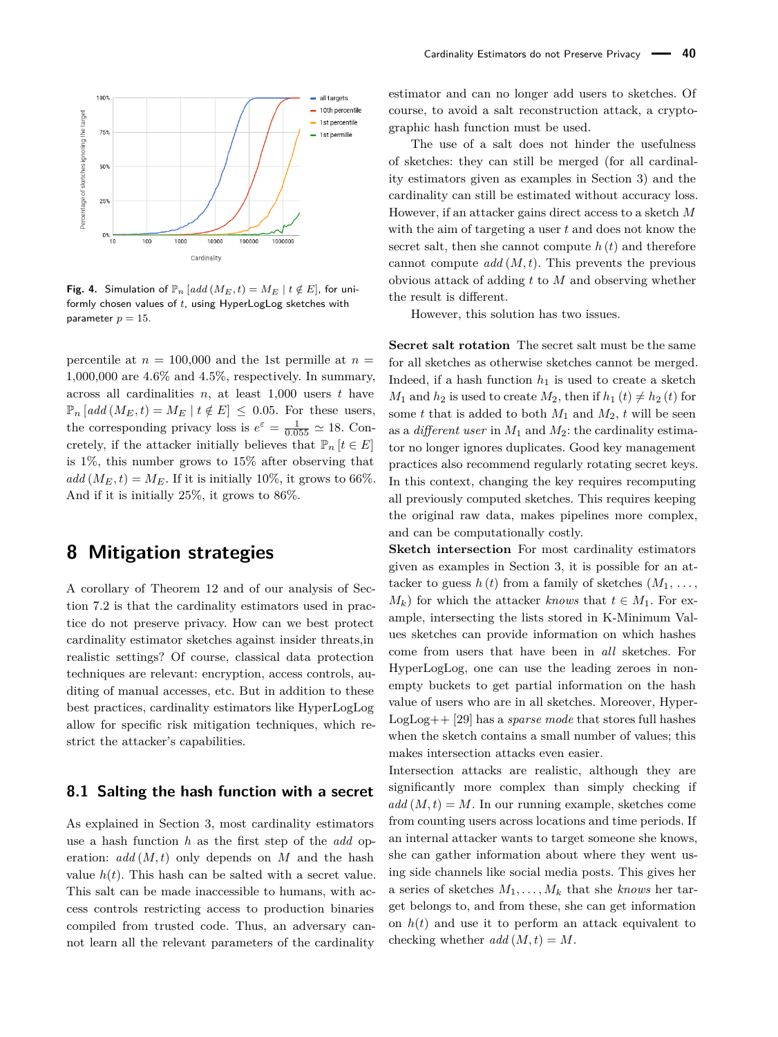<span id="page-14-2"></span>

**Fig. 4.** Simulation of  $\mathbb{P}_n$  [add ( $M_E, t$ ) =  $M_E$  |  $t \notin E$ ], for uniformly chosen values of *t*, using HyperLogLog sketches with parameter  $p = 15$ .

percentile at  $n = 100,000$  and the 1st permille at  $n =$ 1,000,000 are 4.6% and 4.5%, respectively. In summary, across all cardinalities *n*, at least 1,000 users *t* have  $\mathbb{P}_n$  [add ( $M_E, t$ ) =  $M_E$  |  $t \notin E$ ]  $\leq 0.05$ . For these users, the corresponding privacy loss is  $e^{\varepsilon} = \frac{1}{0.055} \simeq 18$ . Concretely, if the attacker initially believes that  $\mathbb{P}_n$  [ $t \in E$ ] is 1%, this number grows to 15% after observing that  $add(M_E, t) = M_E$ . If it is initially 10%, it grows to 66%. And if it is initially 25%, it grows to 86%.

## <span id="page-14-0"></span>**8 Mitigation strategies**

A corollary of Theorem [12](#page-7-2) and of our analysis of Section [7.2](#page-12-1) is that the cardinality estimators used in practice do not preserve privacy. How can we best protect cardinality estimator sketches against insider threats,in realistic settings? Of course, classical data protection techniques are relevant: encryption, access controls, auditing of manual accesses, etc. But in addition to these best practices, cardinality estimators like HyperLogLog allow for specific risk mitigation techniques, which restrict the attacker's capabilities.

#### <span id="page-14-1"></span>**8.1 Salting the hash function with a secret**

As explained in Section [3,](#page-2-0) most cardinality estimators use a hash function *h* as the first step of the *add* operation: *add* (*M, t*) only depends on *M* and the hash value  $h(t)$ . This hash can be salted with a secret value. This salt can be made inaccessible to humans, with access controls restricting access to production binaries compiled from trusted code. Thus, an adversary cannot learn all the relevant parameters of the cardinality

estimator and can no longer add users to sketches. Of course, to avoid a salt reconstruction attack, a cryptographic hash function must be used.

The use of a salt does not hinder the usefulness of sketches: they can still be merged (for all cardinality estimators given as examples in Section [3\)](#page-2-0) and the cardinality can still be estimated without accuracy loss. However, if an attacker gains direct access to a sketch *M* with the aim of targeting a user *t* and does not know the secret salt, then she cannot compute  $h(t)$  and therefore cannot compute *add* (*M, t*). This prevents the previous obvious attack of adding *t* to *M* and observing whether the result is different.

However, this solution has two issues.

**Secret salt rotation** The secret salt must be the same for all sketches as otherwise sketches cannot be merged. Indeed, if a hash function  $h_1$  is used to create a sketch *M*<sub>1</sub> and *h*<sub>2</sub> is used to create *M*<sub>2</sub>, then if  $h_1(t) \neq h_2(t)$  for some *t* that is added to both  $M_1$  and  $M_2$ , *t* will be seen as a *different user* in *M*<sup>1</sup> and *M*2: the cardinality estimator no longer ignores duplicates. Good key management practices also recommend regularly rotating secret keys. In this context, changing the key requires recomputing all previously computed sketches. This requires keeping the original raw data, makes pipelines more complex, and can be computationally costly.

**Sketch intersection** For most cardinality estimators given as examples in Section [3,](#page-2-0) it is possible for an attacker to guess  $h(t)$  from a family of sketches  $(M_1, \ldots,$  $M_k$ ) for which the attacker *knows* that  $t \in M_1$ . For example, intersecting the lists stored in K-Minimum Values sketches can provide information on which hashes come from users that have been in *all* sketches. For HyperLogLog, one can use the leading zeroes in nonempty buckets to get partial information on the hash value of users who are in all sketches. Moreover, Hyper-LogLog++ [\[29\]](#page-16-5) has a *sparse mode* that stores full hashes when the sketch contains a small number of values; this makes intersection attacks even easier.

Intersection attacks are realistic, although they are significantly more complex than simply checking if  $add(M, t) = M$ . In our running example, sketches come from counting users across locations and time periods. If an internal attacker wants to target someone she knows, she can gather information about where they went using side channels like social media posts. This gives her a series of sketches  $M_1, \ldots, M_k$  that she *knows* her target belongs to, and from these, she can get information on  $h(t)$  and use it to perform an attack equivalent to checking whether  $add(M,t) = M$ .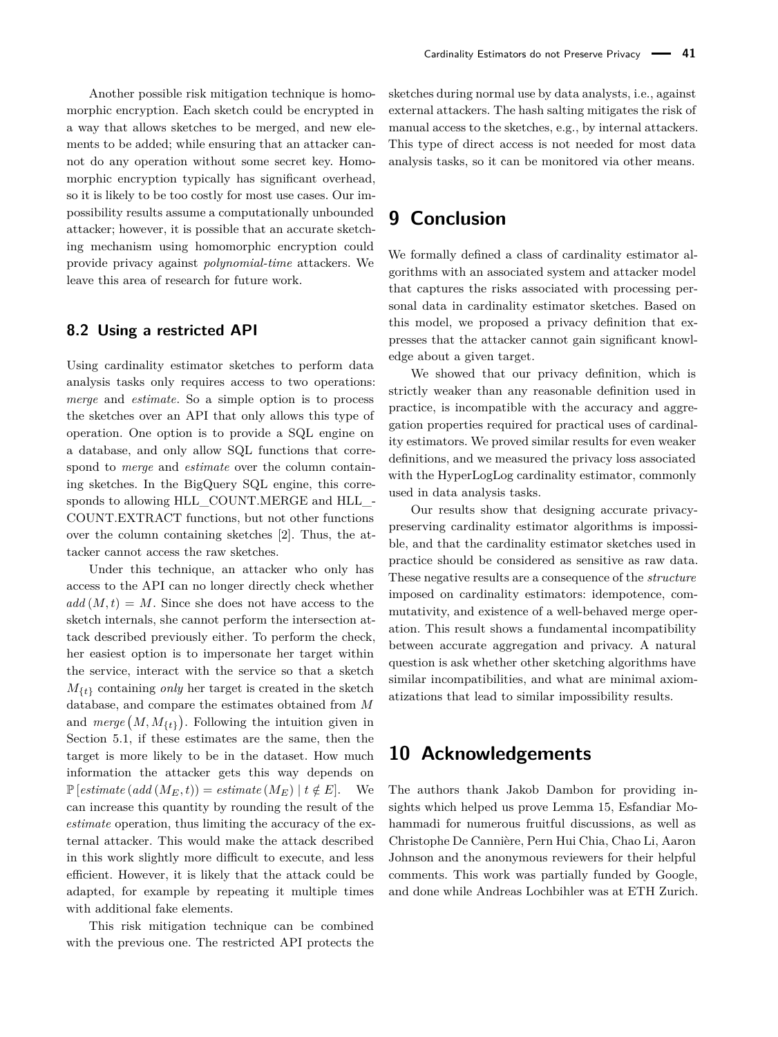Another possible risk mitigation technique is homomorphic encryption. Each sketch could be encrypted in a way that allows sketches to be merged, and new elements to be added; while ensuring that an attacker cannot do any operation without some secret key. Homomorphic encryption typically has significant overhead. so it is likely to be too costly for most use cases. Our impossibility results assume a computationally unbounded attacker; however, it is possible that an accurate sketching mechanism using homomorphic encryption could provide privacy against *polynomial-time* attackers. We leave this area of research for future work.

#### **8.2 Using a restricted API**

Using cardinality estimator sketches to perform data analysis tasks only requires access to two operations: *merge* and *estimate*. So a simple option is to process the sketches over an API that only allows this type of operation. One option is to provide a SQL engine on a database, and only allow SQL functions that correspond to *merge* and *estimate* over the column containing sketches. In the BigQuery SQL engine, this corresponds to allowing HLL\_COUNT.MERGE and HLL\_- COUNT.EXTRACT functions, but not other functions over the column containing sketches [\[2\]](#page-16-7). Thus, the attacker cannot access the raw sketches.

Under this technique, an attacker who only has access to the API can no longer directly check whether  $add(M,t) = M$ . Since she does not have access to the sketch internals, she cannot perform the intersection attack described previously either. To perform the check, her easiest option is to impersonate her target within the service, interact with the service so that a sketch  $M_{\{t\}}$  containing *only* her target is created in the sketch database, and compare the estimates obtained from *M* and  $merge(M, M_{\{t\}})$ . Following the intuition given in Section [5.1,](#page-7-1) if these estimates are the same, then the target is more likely to be in the dataset. How much information the attacker gets this way depends on  $\mathbb{P}[\text{estimate } (add \,(M_E, t)) = \text{estimate } (M_E) \,|\, t \notin E].$  We can increase this quantity by rounding the result of the *estimate* operation, thus limiting the accuracy of the external attacker. This would make the attack described in this work slightly more difficult to execute, and less efficient. However, it is likely that the attack could be adapted, for example by repeating it multiple times with additional fake elements.

This risk mitigation technique can be combined with the previous one. The restricted API protects the sketches during normal use by data analysts, i.e., against external attackers. The hash salting mitigates the risk of manual access to the sketches, e.g., by internal attackers. This type of direct access is not needed for most data analysis tasks, so it can be monitored via other means.

## **9 Conclusion**

We formally defined a class of cardinality estimator algorithms with an associated system and attacker model that captures the risks associated with processing personal data in cardinality estimator sketches. Based on this model, we proposed a privacy definition that expresses that the attacker cannot gain significant knowledge about a given target.

We showed that our privacy definition, which is strictly weaker than any reasonable definition used in practice, is incompatible with the accuracy and aggregation properties required for practical uses of cardinality estimators. We proved similar results for even weaker definitions, and we measured the privacy loss associated with the HyperLogLog cardinality estimator, commonly used in data analysis tasks.

Our results show that designing accurate privacypreserving cardinality estimator algorithms is impossible, and that the cardinality estimator sketches used in practice should be considered as sensitive as raw data. These negative results are a consequence of the *structure* imposed on cardinality estimators: idempotence, commutativity, and existence of a well-behaved merge operation. This result shows a fundamental incompatibility between accurate aggregation and privacy. A natural question is ask whether other sketching algorithms have similar incompatibilities, and what are minimal axiomatizations that lead to similar impossibility results.

## **10 Acknowledgements**

The authors thank Jakob Dambon for providing insights which helped us prove Lemma [15,](#page-9-1) Esfandiar Mohammadi for numerous fruitful discussions, as well as Christophe De Cannière, Pern Hui Chia, Chao Li, Aaron Johnson and the anonymous reviewers for their helpful comments. This work was partially funded by Google, and done while Andreas Lochbihler was at ETH Zurich.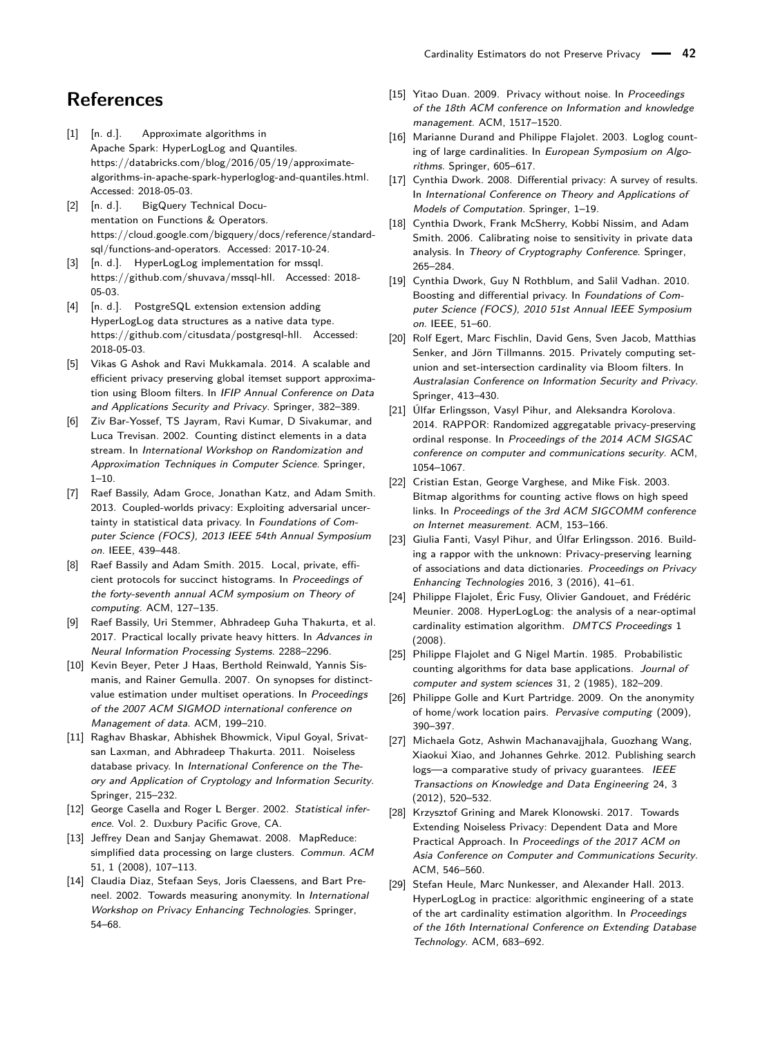## **References**

- <span id="page-16-6"></span>[1] [n. d.]. Approximate algorithms in Apache Spark: HyperLogLog and Quantiles. https://databricks.com/blog/2016/05/19/approximatealgorithms-in-apache-spark-hyperloglog-and-quantiles.html. Accessed: 2018-05-03.
- <span id="page-16-7"></span>[2] [n. d.]. BigQuery Technical Documentation on Functions & Operators. https://cloud.google.com/bigquery/docs/reference/standardsql/functions-and-operators. Accessed: 2017-10-24.
- <span id="page-16-8"></span>[3] [n. d.]. HyperLogLog implementation for mssql. https://github.com/shuvava/mssql-hll. Accessed: 2018- 05-03.
- <span id="page-16-9"></span>[4] [n. d.]. PostgreSQL extension extension adding HyperLogLog data structures as a native data type. https://github.com/citusdata/postgresql-hll. Accessed: 2018-05-03.
- <span id="page-16-10"></span>[5] Vikas G Ashok and Ravi Mukkamala. 2014. A scalable and efficient privacy preserving global itemset support approximation using Bloom filters. In IFIP Annual Conference on Data and Applications Security and Privacy. Springer, 382–389.
- <span id="page-16-23"></span>[6] Ziv Bar-Yossef, TS Jayram, Ravi Kumar, D Sivakumar, and Luca Trevisan. 2002. Counting distinct elements in a data stream. In International Workshop on Randomization and Approximation Techniques in Computer Science. Springer,  $1 - 10$ .
- <span id="page-16-14"></span>[7] Raef Bassily, Adam Groce, Jonathan Katz, and Adam Smith. 2013. Coupled-worlds privacy: Exploiting adversarial uncertainty in statistical data privacy. In Foundations of Computer Science (FOCS), 2013 IEEE 54th Annual Symposium on. IEEE, 439–448.
- <span id="page-16-19"></span>[8] Raef Bassily and Adam Smith. 2015. Local, private, efficient protocols for succinct histograms. In Proceedings of the forty-seventh annual ACM symposium on Theory of computing. ACM, 127–135.
- <span id="page-16-20"></span>[9] Raef Bassily, Uri Stemmer, Abhradeep Guha Thakurta, et al. 2017. Practical locally private heavy hitters. In Advances in Neural Information Processing Systems. 2288–2296.
- <span id="page-16-24"></span>[10] Kevin Beyer, Peter J Haas, Berthold Reinwald, Yannis Sismanis, and Rainer Gemulla. 2007. On synopses for distinctvalue estimation under multiset operations. In Proceedings of the 2007 ACM SIGMOD international conference on Management of data. ACM, 199–210.
- <span id="page-16-15"></span>[11] Raghav Bhaskar, Abhishek Bhowmick, Vipul Goyal, Srivatsan Laxman, and Abhradeep Thakurta. 2011. Noiseless database privacy. In International Conference on the Theory and Application of Cryptology and Information Security. Springer, 215–232.
- <span id="page-16-27"></span>[12] George Casella and Roger L Berger. 2002. Statistical inference. Vol. 2. Duxbury Pacific Grove, CA.
- <span id="page-16-4"></span>[13] Jeffrey Dean and Sanjay Ghemawat. 2008. MapReduce: simplified data processing on large clusters. Commun. ACM 51, 1 (2008), 107–113.
- <span id="page-16-25"></span>[14] Claudia Diaz, Stefaan Seys, Joris Claessens, and Bart Preneel. 2002. Towards measuring anonymity. In International Workshop on Privacy Enhancing Technologies. Springer, 54–68.
- <span id="page-16-16"></span>[15] Yitao Duan. 2009. Privacy without noise. In Proceedings of the 18th ACM conference on Information and knowledge management. ACM, 1517–1520.
- <span id="page-16-2"></span>[16] Marianne Durand and Philippe Flajolet. 2003. Loglog counting of large cardinalities. In European Symposium on Algorithms. Springer, 605–617.
- <span id="page-16-18"></span>[17] Cynthia Dwork. 2008. Differential privacy: A survey of results. In International Conference on Theory and Applications of Models of Computation. Springer, 1–19.
- <span id="page-16-13"></span>[18] Cynthia Dwork, Frank McSherry, Kobbi Nissim, and Adam Smith. 2006. Calibrating noise to sensitivity in private data analysis. In Theory of Cryptography Conference. Springer, 265–284.
- <span id="page-16-26"></span>[19] Cynthia Dwork, Guy N Rothblum, and Salil Vadhan, 2010. Boosting and differential privacy. In Foundations of Computer Science (FOCS), 2010 51st Annual IEEE Symposium on. IEEE, 51–60.
- <span id="page-16-12"></span>[20] Rolf Egert, Marc Fischlin, David Gens, Sven Jacob, Matthias Senker, and Jörn Tillmanns. 2015. Privately computing setunion and set-intersection cardinality via Bloom filters. In Australasian Conference on Information Security and Privacy. Springer, 413–430.
- <span id="page-16-21"></span>[21] Úlfar Erlingsson, Vasyl Pihur, and Aleksandra Korolova. 2014. RAPPOR: Randomized aggregatable privacy-preserving ordinal response. In Proceedings of the 2014 ACM SIGSAC conference on computer and communications security. ACM, 1054–1067.
- <span id="page-16-0"></span>[22] Cristian Estan, George Varghese, and Mike Fisk. 2003. Bitmap algorithms for counting active flows on high speed links. In Proceedings of the 3rd ACM SIGCOMM conference on Internet measurement. ACM, 153–166.
- <span id="page-16-22"></span>[23] Giulia Fanti, Vasyl Pihur, and Úlfar Erlingsson. 2016. Building a rappor with the unknown: Privacy-preserving learning of associations and data dictionaries. Proceedings on Privacy Enhancing Technologies 2016, 3 (2016), 41–61.
- <span id="page-16-3"></span>[24] Philippe Flajolet, Éric Fusy, Olivier Gandouet, and Frédéric Meunier. 2008. HyperLogLog: the analysis of a near-optimal cardinality estimation algorithm. DMTCS Proceedings 1 (2008).
- <span id="page-16-1"></span>[25] Philippe Flajolet and G Nigel Martin. 1985. Probabilistic counting algorithms for data base applications. Journal of computer and system sciences 31, 2 (1985), 182–209.
- <span id="page-16-11"></span>[26] Philippe Golle and Kurt Partridge. 2009. On the anonymity of home/work location pairs. Pervasive computing (2009), 390–397.
- <span id="page-16-28"></span>[27] Michaela Gotz, Ashwin Machanavajjhala, Guozhang Wang, Xiaokui Xiao, and Johannes Gehrke. 2012. Publishing search logs—a comparative study of privacy guarantees. IEEE Transactions on Knowledge and Data Engineering 24, 3 (2012), 520–532.
- <span id="page-16-17"></span>[28] Krzysztof Grining and Marek Klonowski. 2017. Towards Extending Noiseless Privacy: Dependent Data and More Practical Approach. In Proceedings of the 2017 ACM on Asia Conference on Computer and Communications Security. ACM, 546–560.
- <span id="page-16-5"></span>[29] Stefan Heule, Marc Nunkesser, and Alexander Hall. 2013. HyperLogLog in practice: algorithmic engineering of a state of the art cardinality estimation algorithm. In Proceedings of the 16th International Conference on Extending Database Technology. ACM, 683–692.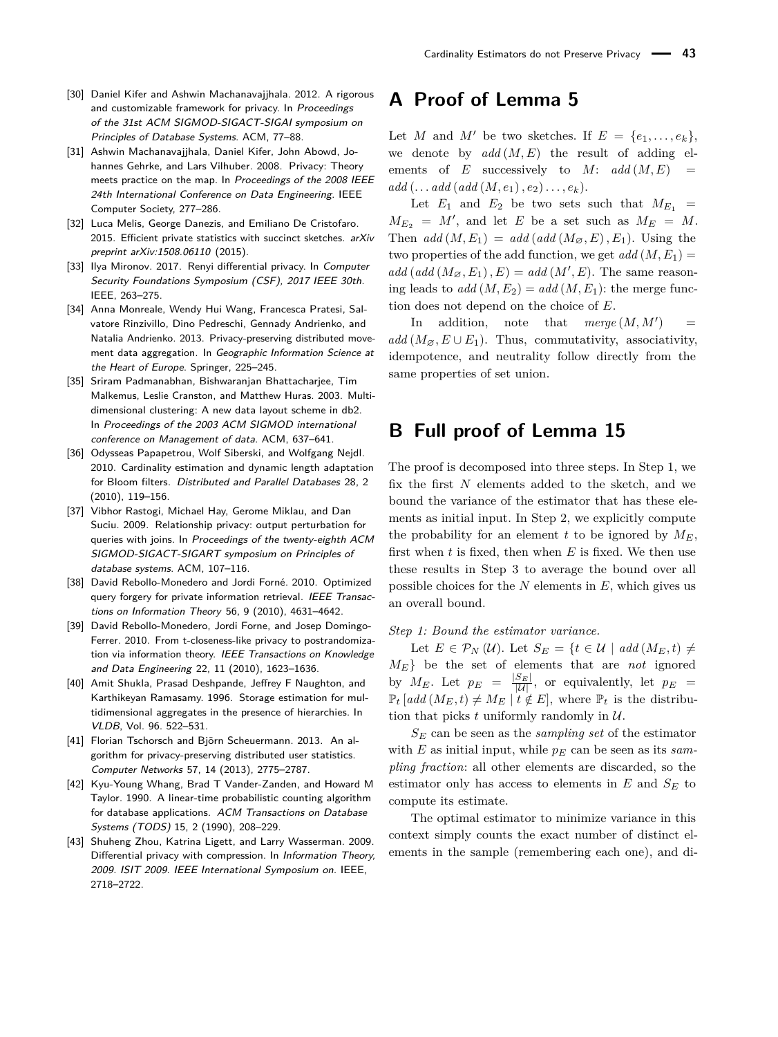- <span id="page-17-6"></span>[30] Daniel Kifer and Ashwin Machanavajjhala. 2012. A rigorous and customizable framework for privacy. In Proceedings of the 31st ACM SIGMOD-SIGACT-SIGAI symposium on Principles of Database Systems. ACM, 77–88.
- <span id="page-17-15"></span>[31] Ashwin Machanavajjhala, Daniel Kifer, John Abowd, Johannes Gehrke, and Lars Vilhuber. 2008. Privacy: Theory meets practice on the map. In Proceedings of the 2008 IEEE 24th International Conference on Data Engineering. IEEE Computer Society, 277–286.
- <span id="page-17-5"></span>[32] Luca Melis, George Danezis, and Emiliano De Cristofaro. 2015. Efficient private statistics with succinct sketches.  $arXiv$ preprint arXiv:1508.06110 (2015).
- <span id="page-17-14"></span>[33] Ilya Mironov. 2017. Renyi differential privacy. In Computer Security Foundations Symposium (CSF), 2017 IEEE 30th. IEEE, 263–275.
- <span id="page-17-4"></span>[34] Anna Monreale, Wendy Hui Wang, Francesca Pratesi, Salvatore Rinzivillo, Dino Pedreschi, Gennady Andrienko, and Natalia Andrienko. 2013. Privacy-preserving distributed movement data aggregation. In Geographic Information Science at the Heart of Europe. Springer, 225–245.
- <span id="page-17-0"></span>[35] Sriram Padmanabhan, Bishwaranjan Bhattacharjee, Tim Malkemus, Leslie Cranston, and Matthew Huras. 2003. Multidimensional clustering: A new data layout scheme in db2. In Proceedings of the 2003 ACM SIGMOD international conference on Management of data. ACM, 637–641.
- <span id="page-17-10"></span>[36] Odysseas Papapetrou, Wolf Siberski, and Wolfgang Nejdl. 2010. Cardinality estimation and dynamic length adaptation for Bloom filters. Distributed and Parallel Databases 28, 2 (2010), 119–156.
- <span id="page-17-7"></span>[37] Vibhor Rastogi, Michael Hay, Gerome Miklau, and Dan Suciu. 2009. Relationship privacy: output perturbation for queries with joins. In Proceedings of the twenty-eighth ACM SIGMOD-SIGACT-SIGART symposium on Principles of database systems. ACM, 107–116.
- <span id="page-17-12"></span>[38] David Rebollo-Monedero and Jordi Forné. 2010. Optimized query forgery for private information retrieval. IEEE Transactions on Information Theory 56, 9 (2010), 4631–4642.
- <span id="page-17-13"></span>[39] David Rebollo-Monedero, Jordi Forne, and Josep Domingo-Ferrer. 2010. From t-closeness-like privacy to postrandomization via information theory. IEEE Transactions on Knowledge and Data Engineering 22, 11 (2010), 1623–1636.
- <span id="page-17-1"></span>[40] Amit Shukla, Prasad Deshpande, Jeffrey F Naughton, and Karthikeyan Ramasamy. 1996. Storage estimation for multidimensional aggregates in the presence of hierarchies. In VLDB, Vol. 96. 522–531.
- <span id="page-17-3"></span>[41] Florian Tschorsch and Björn Scheuermann. 2013. An algorithm for privacy-preserving distributed user statistics. Computer Networks 57, 14 (2013), 2775–2787.
- <span id="page-17-2"></span>[42] Kyu-Young Whang, Brad T Vander-Zanden, and Howard M Taylor. 1990. A linear-time probabilistic counting algorithm for database applications. ACM Transactions on Database Systems (TODS) 15, 2 (1990), 208–229.
- <span id="page-17-8"></span>[43] Shuheng Zhou, Katrina Ligett, and Larry Wasserman. 2009. Differential privacy with compression. In Information Theory, 2009. ISIT 2009. IEEE International Symposium on. IEEE, 2718–2722.

## <span id="page-17-9"></span>**A Proof of Lemma [5](#page-3-2)**

Let *M* and *M'* be two sketches. If  $E = \{e_1, \ldots, e_k\},\$ we denote by  $add(M, E)$  the result of adding elements of *E* successively to *M*:  $add(M, E)$  =  $add (\ldots add (add (M, e_1), e_2), \ldots, e_k).$ 

Let  $E_1$  and  $E_2$  be two sets such that  $M_{E_1}$  =  $M_{E_2} = M'$ , and let *E* be a set such as  $M_E = M$ . Then  $add(M, E_1) = add(add(M_{\varnothing}, E), E_1)$ . Using the two properties of the add function, we get  $add(M, E_1)$  $\alpha$ dd ( $\alpha$ dd ( $M_{\varnothing}, E_1$ ),  $E$ ) =  $\alpha$ dd ( $M', E$ ). The same reasoning leads to  $add(M, E_2) = add(M, E_1)$ : the merge function does not depend on the choice of *E*.

In addition, note that  $merge(M, M')$  $\equiv$  $add(M_{\varnothing}, E \cup E_1)$ . Thus, commutativity, associativity, idempotence, and neutrality follow directly from the same properties of set union.

## <span id="page-17-11"></span>**B Full proof of Lemma [15](#page-9-1)**

The proof is decomposed into three steps. In Step 1, we fix the first *N* elements added to the sketch, and we bound the variance of the estimator that has these elements as initial input. In Step 2, we explicitly compute the probability for an element *t* to be ignored by  $M_E$ , first when *t* is fixed, then when *E* is fixed. We then use these results in Step 3 to average the bound over all possible choices for the *N* elements in *E*, which gives us an overall bound.

#### *Step 1: Bound the estimator variance.*

Let  $E \in \mathcal{P}_N (\mathcal{U})$ . Let  $S_E = \{ t \in \mathcal{U} \mid \text{add}(M_E, t) \neq 0 \}$ *ME*} be the set of elements that are *not* ignored by  $M_E$ . Let  $p_E = \frac{|S_E|}{|\mathcal{U}|}$ , or equivalently, let  $p_E =$  $\mathbb{P}_t$  [add ( $M_E, t$ )  $\neq M_E$  |  $t \notin E$ ], where  $\mathbb{P}_t$  is the distribution that picks  $t$  uniformly randomly in  $\mathcal{U}$ .

*S<sup>E</sup>* can be seen as the *sampling set* of the estimator with *E* as initial input, while  $p<sub>E</sub>$  can be seen as its *sampling fraction*: all other elements are discarded, so the estimator only has access to elements in  $E$  and  $S_E$  to compute its estimate.

The optimal estimator to minimize variance in this context simply counts the exact number of distinct elements in the sample (remembering each one), and di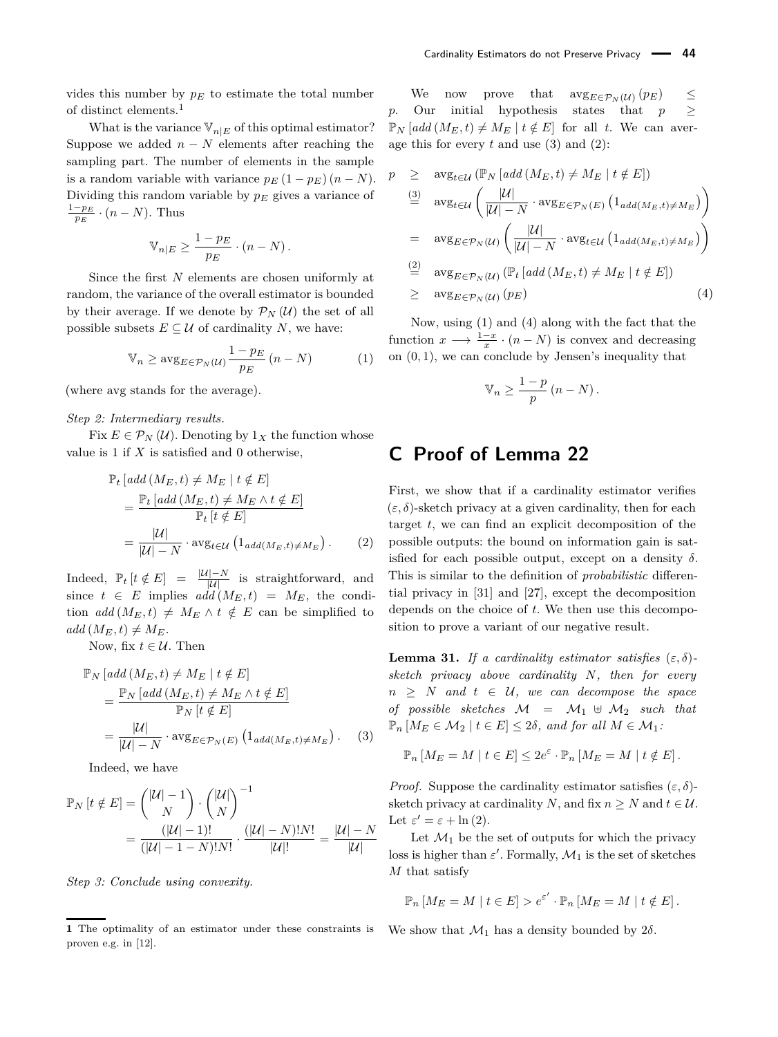vides this number by  $p_E$  to estimate the total number of distinct elements.[1](#page-0-1)

What is the variance  $V_{n|E}$  of this optimal estimator? Suppose we added  $n - N$  elements after reaching the sampling part. The number of elements in the sample is a random variable with variance  $p_E(1 - p_E)(n - N)$ . Dividing this random variable by *p<sup>E</sup>* gives a variance of  $\frac{1-p_E}{p_E} \cdot (n-N)$ . Thus

$$
\mathbb{V}_{n|E} \ge \frac{1 - p_E}{p_E} \cdot (n - N).
$$

Since the first *N* elements are chosen uniformly at random, the variance of the overall estimator is bounded by their average. If we denote by  $\mathcal{P}_N(\mathcal{U})$  the set of all possible subsets  $E \subseteq \mathcal{U}$  of cardinality *N*, we have:

$$
\mathbb{V}_n \ge \arg_{E \in \mathcal{P}_N(u)} \frac{1 - p_E}{p_E} \left( n - N \right) \tag{1}
$$

(where avg stands for the average).

#### *Step 2: Intermediary results.*

Fix  $E \in \mathcal{P}_N (\mathcal{U})$ . Denoting by  $1_X$  the function whose value is 1 if *X* is satisfied and 0 otherwise,

$$
\mathbb{P}_{t} \left[ add \left( M_{E}, t \right) \neq M_{E} \mid t \notin E \right]
$$
\n
$$
= \frac{\mathbb{P}_{t} \left[ add \left( M_{E}, t \right) \neq M_{E} \land t \notin E \right]}{\mathbb{P}_{t} \left[ t \notin E \right]}
$$
\n
$$
= \frac{|\mathcal{U}|}{|\mathcal{U}| - N} \cdot \text{avg}_{t \in \mathcal{U}} \left( 1_{add \left( M_{E}, t \right) \neq M_{E}} \right). \tag{2}
$$

Indeed,  $\mathbb{P}_t$  [ $t \notin E$ ] =  $\frac{|\mathcal{U}| - N}{|\mathcal{U}|}$  is straightforward, and since  $t \in E$  implies  $add(M_E, t) = M_E$ , the condition *add*  $(M_E, t) \neq M_E \wedge t \notin E$  can be simplified to  $add(M_E, t) \neq M_E$ .

Now, fix  $t \in \mathcal{U}$ . Then

$$
\mathbb{P}_N \left[ add \left( M_E, t \right) \neq M_E \mid t \notin E \right] \n= \frac{\mathbb{P}_N \left[ add \left( M_E, t \right) \neq M_E \land t \notin E \right]}{\mathbb{P}_N \left[ t \notin E \right]} \n= \frac{|\mathcal{U}|}{|\mathcal{U}| - N} \cdot \text{avg}_{E \in \mathcal{P}_N(E)} \left( 1_{add \left( M_E, t \right) \neq M_E} \right). \tag{3}
$$

Indeed, we have

$$
\mathbb{P}_{N}[t \notin E] = {\binom{|\mathcal{U}| - 1}{N}} \cdot {\binom{|\mathcal{U}|}{N}}^{-1}
$$
  
= 
$$
\frac{(|\mathcal{U}| - 1)!}{(|\mathcal{U}| - 1 - N)! N!} \cdot \frac{(|\mathcal{U}| - N)! N!}{|\mathcal{U}|!} = \frac{|\mathcal{U}| - N}{|\mathcal{U}|}
$$

*Step 3: Conclude using convexity.*

We now prove that  $\arg_{E \in \mathcal{P}_N(\mathcal{U})} (p_E) \leq$ *p*. Our initial hypothesis states that  $p \geq$  $\mathbb{P}_N$  [*add* ( $M_E, t$ )  $\neq M_E$  |  $t \notin E$ ] for all *t*. We can average this for every *t* and use [\(3\)](#page-18-1) and [\(2\)](#page-18-2):

<span id="page-18-4"></span>
$$
p \ge \text{avg}_{t \in \mathcal{U}} (\mathbb{P}_N \left[ add(M_E, t) \ne M_E \mid t \notin E] \right)
$$
  
\n
$$
\stackrel{(3)}{=} \text{avg}_{t \in \mathcal{U}} \left( \frac{|\mathcal{U}|}{|\mathcal{U}| - N} \cdot \text{avg}_{E \in \mathcal{P}_N(E)} \left( 1_{add(M_E, t) \ne M_E} \right) \right)
$$
  
\n
$$
= \text{avg}_{E \in \mathcal{P}_N(\mathcal{U})} \left( \frac{|\mathcal{U}|}{|\mathcal{U}| - N} \cdot \text{avg}_{t \in \mathcal{U}} \left( 1_{add(M_E, t) \ne M_E} \right) \right)
$$
  
\n
$$
\stackrel{(2)}{=} \text{avg}_{E \in \mathcal{P}_N(\mathcal{U})} (\mathbb{P}_t \left[ add(M_E, t) \ne M_E \mid t \notin E] \right)
$$
  
\n
$$
\ge \text{avg}_{E \in \mathcal{P}_N(\mathcal{U})} (p_E) \qquad (4)
$$

<span id="page-18-3"></span>Now, using [\(1\)](#page-18-3) and [\(4\)](#page-18-4) along with the fact that the function  $x \longrightarrow \frac{1-x}{x} \cdot (n-N)$  is convex and decreasing on (0*,* 1), we can conclude by Jensen's inequality that

$$
\mathbb{V}_n \ge \frac{1-p}{p} (n-N).
$$

## <span id="page-18-0"></span>**C Proof of Lemma [22](#page-11-1)**

<span id="page-18-2"></span>First, we show that if a cardinality estimator verifies  $(\varepsilon, \delta)$ -sketch privacy at a given cardinality, then for each target *t*, we can find an explicit decomposition of the possible outputs: the bound on information gain is satisfied for each possible output, except on a density *δ*. This is similar to the definition of *probabilistic* differential privacy in [\[31\]](#page-17-15) and [\[27\]](#page-16-28), except the decomposition depends on the choice of *t*. We then use this decomposition to prove a variant of our negative result.

<span id="page-18-5"></span>**Lemma 31.** *If a cardinality estimator satisfies*  $(\varepsilon, \delta)$ *sketch privacy above cardinality N, then for every*  $n \geq N$  *and*  $t \in U$ *, we can decompose the space of possible sketches*  $M = M_1 \oplus M_2$  *such that*  $\mathbb{P}_n \left[ M_E \in \mathcal{M}_2 \mid t \in E \right] \leq 2\delta$ , and for all  $M \in \mathcal{M}_1$ :

<span id="page-18-1"></span>
$$
\mathbb{P}_n \left[ M_E = M \mid t \in E \right] \leq 2e^{\varepsilon} \cdot \mathbb{P}_n \left[ M_E = M \mid t \notin E \right].
$$

*Proof.* Suppose the cardinality estimator satisfies  $(\varepsilon, \delta)$ sketch privacy at cardinality *N*, and fix  $n \geq N$  and  $t \in \mathcal{U}$ . Let  $\varepsilon' = \varepsilon + \ln(2)$ .

Let  $\mathcal{M}_1$  be the set of outputs for which the privacy loss is higher than  $\varepsilon'$ . Formally,  $\mathcal{M}_1$  is the set of sketches *M* that satisfy

$$
\mathbb{P}_n \left[ M_E = M \mid t \in E \right] > e^{\varepsilon'} \cdot \mathbb{P}_n \left[ M_E = M \mid t \notin E \right].
$$

We show that  $\mathcal{M}_1$  has a density bounded by  $2\delta$ .

**<sup>1</sup>** The optimality of an estimator under these constraints is proven e.g. in [\[12\]](#page-16-27).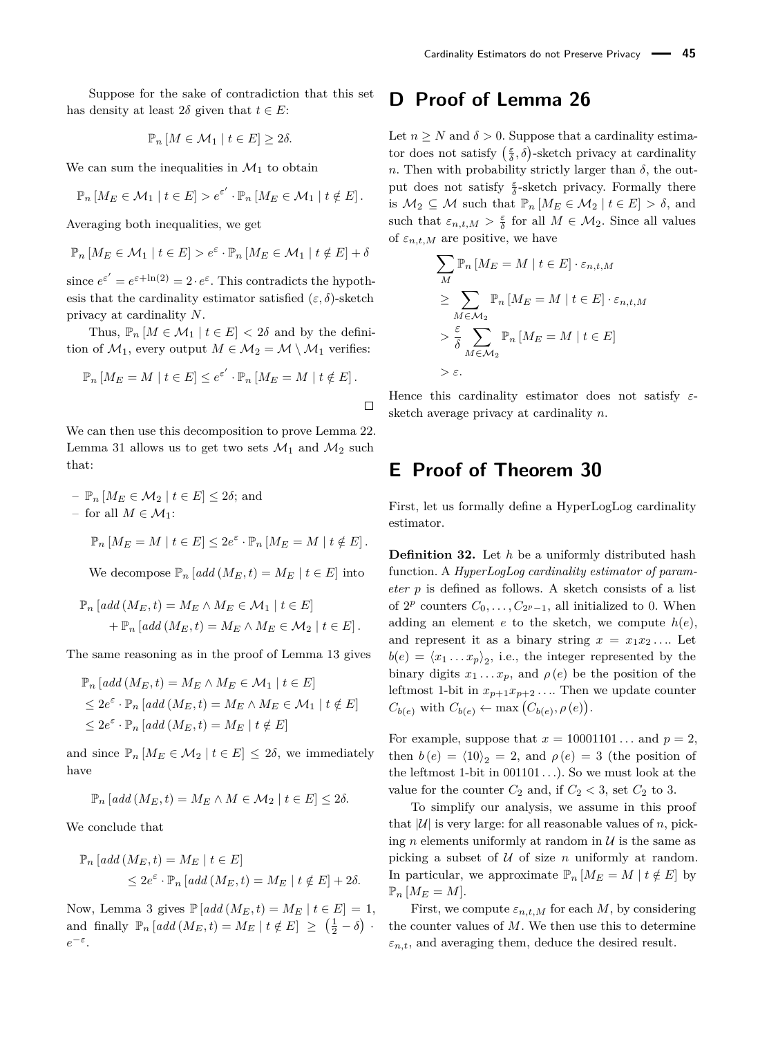Suppose for the sake of contradiction that this set has density at least  $2\delta$  given that  $t \in E$ :

$$
\mathbb{P}_n\left[M \in \mathcal{M}_1 \mid t \in E\right] \geq 2\delta.
$$

We can sum the inequalities in  $\mathcal{M}_1$  to obtain

$$
\mathbb{P}_n\left[M_E \in \mathcal{M}_1 \mid t \in E\right] > e^{\varepsilon'} \cdot \mathbb{P}_n\left[M_E \in \mathcal{M}_1 \mid t \notin E\right].
$$

Averaging both inequalities, we get

$$
\mathbb{P}_n\left[M_E \in \mathcal{M}_1 \mid t \in E\right] > e^{\varepsilon} \cdot \mathbb{P}_n\left[M_E \in \mathcal{M}_1 \mid t \notin E\right] + \delta
$$

since  $e^{\varepsilon'} = e^{\varepsilon + \ln(2)} = 2 \cdot e^{\varepsilon}$ . This contradicts the hypothesis that the cardinality estimator satisfied  $(\varepsilon, \delta)$ -sketch privacy at cardinality *N*.

Thus,  $\mathbb{P}_n [M \in \mathcal{M}_1 | t \in E] < 2\delta$  and by the definition of  $M_1$ , every output  $M \in \mathcal{M}_2 = \mathcal{M} \setminus \mathcal{M}_1$  verifies:

$$
\mathbb{P}_n \left[ M_E = M \mid t \in E \right] \le e^{\varepsilon'} \cdot \mathbb{P}_n \left[ M_E = M \mid t \notin E \right].
$$

We can then use this decomposition to prove Lemma [22.](#page-11-1) Lemma [31](#page-18-5) allows us to get two sets  $\mathcal{M}_1$  and  $\mathcal{M}_2$  such that:

$$
- \mathbb{P}_n \left[ M_E \in \mathcal{M}_2 \mid t \in E \right] \leq 2\delta; \text{ and}
$$
  
- for all  $M \in \mathcal{M}_1$ :

$$
\mathbb{P}_n \left[ M_E = M \mid t \in E \right] \leq 2e^{\varepsilon} \cdot \mathbb{P}_n \left[ M_E = M \mid t \notin E \right].
$$

We decompose  $\mathbb{P}_n$  [add ( $M_E, t$ ) =  $M_E$  |  $t \in E$ ] into

$$
\mathbb{P}_n \left[ add(M_E, t) = M_E \wedge M_E \in \mathcal{M}_1 \mid t \in E \right]
$$
  
+ 
$$
\mathbb{P}_n \left[ add(M_E, t) = M_E \wedge M_E \in \mathcal{M}_2 \mid t \in E \right].
$$

The same reasoning as in the proof of Lemma [13](#page-8-1) gives

$$
\mathbb{P}_n \left[ \operatorname{add} \left( M_E, t \right) = M_E \wedge M_E \in \mathcal{M}_1 \mid t \in E \right]
$$
  
\n
$$
\leq 2e^{\varepsilon} \cdot \mathbb{P}_n \left[ \operatorname{add} \left( M_E, t \right) = M_E \wedge M_E \in \mathcal{M}_1 \mid t \notin E \right]
$$
  
\n
$$
\leq 2e^{\varepsilon} \cdot \mathbb{P}_n \left[ \operatorname{add} \left( M_E, t \right) = M_E \mid t \notin E \right]
$$

and since  $\mathbb{P}_n \left[ M_E \in \mathcal{M}_2 \mid t \in E \right] \leq 2\delta$ , we immediately have

$$
\mathbb{P}_n\left[\text{add}\left(M_E, t\right) = M_E \land M \in \mathcal{M}_2 \mid t \in E\right] \leq 2\delta.
$$

We conclude that

$$
\mathbb{P}_n \left[ \text{add} \left( M_E, t \right) = M_E \mid t \in E \right]
$$
  

$$
\leq 2e^{\varepsilon} \cdot \mathbb{P}_n \left[ \text{add} \left( M_E, t \right) = M_E \mid t \notin E \right] + 2\delta.
$$

Now, Lemma [3](#page-3-3) gives  $\mathbb{P}[add(M_E,t) = M_E | t \in E] = 1$ , and finally  $\mathbb{P}_n \left[ add(M_E, t) = M_E \mid t \notin E \right] \geq \left( \frac{1}{2} - \delta \right)$ . *e*<sup>-ε</sup>.

## <span id="page-19-0"></span>**D Proof of Lemma [26](#page-11-2)**

Let  $n \geq N$  and  $\delta > 0$ . Suppose that a cardinality estimator does not satisfy  $(\frac{\varepsilon}{\delta}, \delta)$ -sketch privacy at cardinality *n*. Then with probability strictly larger than  $\delta$ , the output does not satisfy  $\frac{\varepsilon}{\delta}$ -sketch privacy. Formally there is  $\mathcal{M}_2 \subseteq \mathcal{M}$  such that  $\mathbb{P}_n \left[ M_E \in \mathcal{M}_2 \mid t \in E \right] > \delta$ , and such that  $\varepsilon_{n,t,M} > \frac{\varepsilon}{\delta}$  for all  $M \in \mathcal{M}_2$ . Since all values of  $\varepsilon_{n,t,M}$  are positive, we have

$$
\sum_{M} \mathbb{P}_n \left[ M_E = M \mid t \in E \right] \cdot \varepsilon_{n,t,M}
$$
\n
$$
\geq \sum_{M \in \mathcal{M}_2} \mathbb{P}_n \left[ M_E = M \mid t \in E \right] \cdot \varepsilon_{n,t,M}
$$
\n
$$
> \frac{\varepsilon}{\delta} \sum_{M \in \mathcal{M}_2} \mathbb{P}_n \left[ M_E = M \mid t \in E \right]
$$
\n
$$
> \varepsilon.
$$

Hence this cardinality estimator does not satisfy *ε*sketch average privacy at cardinality *n*.

## <span id="page-19-1"></span>**E Proof of Theorem [30](#page-13-1)**

First, let us formally define a HyperLogLog cardinality estimator.

**Definition 32.** Let *h* be a uniformly distributed hash function. A *HyperLogLog cardinality estimator of parameter p* is defined as follows. A sketch consists of a list of  $2^p$  counters  $C_0, \ldots, C_{2^p-1}$ , all initialized to 0. When adding an element  $e$  to the sketch, we compute  $h(e)$ , and represent it as a binary string  $x = x_1 x_2 \ldots$  Let  $b(e) = \langle x_1 \dots x_p \rangle_2$ , i.e., the integer represented by the binary digits  $x_1 \ldots x_p$ , and  $\rho(e)$  be the position of the leftmost 1-bit in  $x_{p+1}x_{p+2}$ .... Then we update counter  $C_{b(e)}$  with  $C_{b(e)} \leftarrow \max(C_{b(e)}, \rho(e)).$ 

For example, suppose that  $x = 10001101...$  and  $p = 2$ , then  $b(e) = \langle 10 \rangle_2 = 2$ , and  $\rho(e) = 3$  (the position of the leftmost 1-bit in 001101 *. . .*). So we must look at the value for the counter  $C_2$  and, if  $C_2 < 3$ , set  $C_2$  to 3.

To simplify our analysis, we assume in this proof that  $|U|$  is very large: for all reasonable values of *n*, picking *n* elements uniformly at random in  $U$  is the same as picking a subset of  $U$  of size  $n$  uniformly at random. In particular, we approximate  $\mathbb{P}_n \left[ M_E = M \mid t \notin E \right]$  by  $\mathbb{P}_n$   $[M_E = M].$ 

First, we compute  $\varepsilon_{n,t,M}$  for each *M*, by considering the counter values of *M*. We then use this to determine  $\varepsilon_{n,t}$ , and averaging them, deduce the desired result.